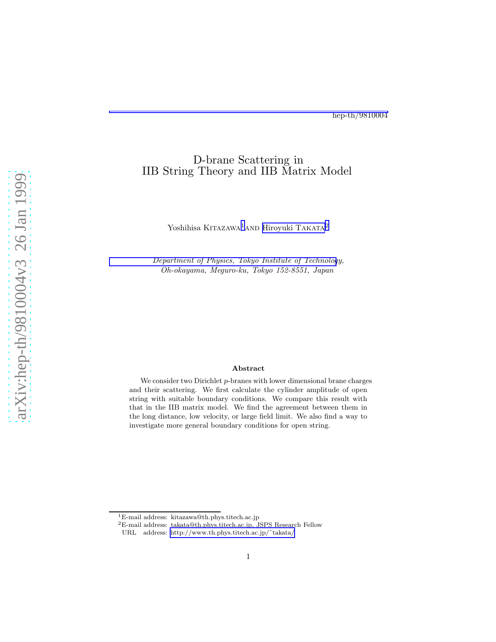## D-brane Scattering in IIB String Theory and IIB Matrix Model

Yoshihisa KITAZAWA<sup>1</sup>AND [Hiroyuki T](http://131.112.122.96/)AKATA<sup>2</sup>

[Department of Physics, Tokyo Institute of Technolog](http://www.th.phys.titech.ac.jp/particle/particle.html)y, Oh-okayama, Meguro-ku, Tokyo 152-8551, Japan

#### Abstract

We consider two Dirichlet p-branes with lower dimensional brane charges and their scattering. We first calculate the cylinder amplitude of open string with suitable boundary conditions. We compare this result with that in the IIB matrix model. We find the agreement between them in the long distance, low velocity, or large field limit. We also find a way to investigate more general boundary conditions for open string.

<sup>1</sup>E-mail address: kitazawa@th.phys.titech.ac.jp

<sup>2</sup>E-mail address: takata@th.phys.titech.ac.jp, JSPS Research Fellow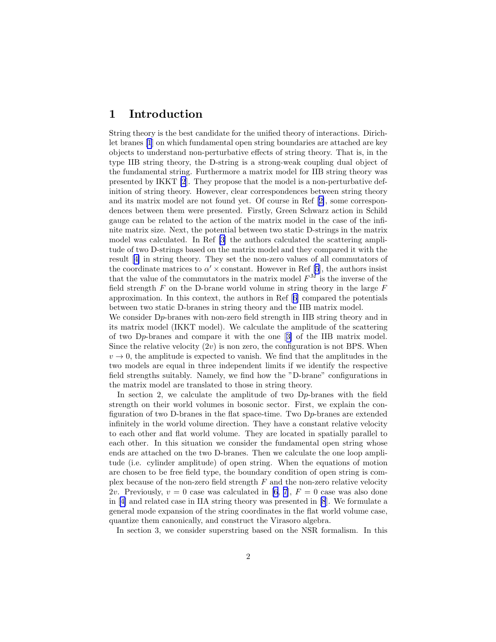### 1 Introduction

String theory is the best candidate for the unified theory of interactions. Dirichlet branes [\[1](#page-34-0)] on which fundamental open string boundaries are attached are key objects to understand non-perturbative effects of string theory. That is, in the type IIB string theory, the D-string is a strong-weak coupling dual object of the fundamental string. Furthermore a matrix model for IIB string theory was presented by IKKT [\[2](#page-34-0)]. They propose that the model is a non-perturbative definition of string theory. However, clear correspondences between string theory and its matrix model are not found yet. Of course in Ref[[2\]](#page-34-0), some correspondences between them were presented. Firstly, Green Schwarz action in Schild gauge can be related to the action of the matrix model in the case of the infinite matrix size. Next, the potential between two static D-strings in the matrix model was calculated. In Ref [\[3](#page-34-0)] the authors calculated the scattering amplitude of two D-strings based on the matrix model and they compared it with the result[[4\]](#page-34-0) in string theory. They set the non-zero values of all commutators of the coordinate matrices to  $\alpha' \times$  constant. However in Ref [\[5](#page-34-0)], the authors insist that the value of the commutators in the matrix model  $F^M$  is the inverse of the field strength  $F$  on the D-brane world volume in string theory in the large  $F$ approximation. In this context, the authors in Ref[[6\]](#page-34-0) compared the potentials between two static D-branes in string theory and the IIB matrix model.

We consider D<sub>p</sub>-branes with non-zero field strength in IIB string theory and in its matrix model (IKKT model). We calculate the amplitude of the scattering of two Dp-branes and compare it with the one[[3\]](#page-34-0) of the IIB matrix model. Since the relative velocity  $(2v)$  is non zero, the configuration is not BPS. When  $v \rightarrow 0$ , the amplitude is expected to vanish. We find that the amplitudes in the two models are equal in three independent limits if we identify the respective field strengths suitably. Namely, we find how the "D-brane" configurations in the matrix model are translated to those in string theory.

In section 2, we calculate the amplitude of two Dp-branes with the field strength on their world volumes in bosonic sector. First, we explain the configuration of two D-branes in the flat space-time. Two Dp-branes are extended infinitely in the world volume direction. They have a constant relative velocity to each other and flat world volume. They are located in spatially parallel to each other. In this situation we consider the fundamental open string whose ends are attached on the two D-branes. Then we calculate the one loop amplitude (i.e. cylinder amplitude) of open string. When the equations of motion are chosen to be free field type, the boundary condition of open string is complex because of the non-zero field strength  $F$  and the non-zero relative velocity 2v. Previously,  $v = 0$  case was calculated in [\[6](#page-34-0), [7\]](#page-34-0),  $F = 0$  case was also done in[[4\]](#page-34-0) and related case in IIA string theory was presented in [\[8](#page-34-0)]. We formulate a general mode expansion of the string coordinates in the flat world volume case, quantize them canonically, and construct the Virasoro algebra.

In section 3, we consider superstring based on the NSR formalism. In this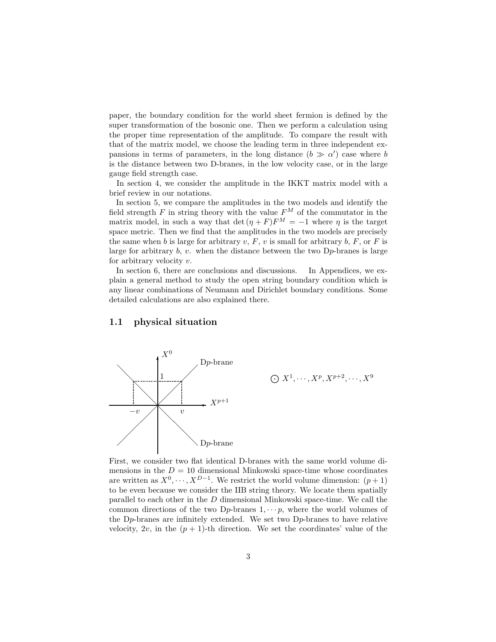paper, the boundary condition for the world sheet fermion is defined by the super transformation of the bosonic one. Then we perform a calculation using the proper time representation of the amplitude. To compare the result with that of the matrix model, we choose the leading term in three independent expansions in terms of parameters, in the long distance  $(b \gg \alpha')$  case where b is the distance between two D-branes, in the low velocity case, or in the large gauge field strength case.

In section 4, we consider the amplitude in the IKKT matrix model with a brief review in our notations.

In section 5, we compare the amplitudes in the two models and identify the field strength F in string theory with the value  $F^M$  of the commutator in the matrix model, in such a way that det  $(\eta + F)F^{M} = -1$  where  $\eta$  is the target space metric. Then we find that the amplitudes in the two models are precisely the same when b is large for arbitrary v,  $F, v$  is small for arbitrary b,  $F,$  or  $F$  is large for arbitrary  $b, v$ . when the distance between the two  $Dp$ -branes is large for arbitrary velocity v.

In section 6, there are conclusions and discussions. In Appendices, we explain a general method to study the open string boundary condition which is any linear combinations of Neumann and Dirichlet boundary conditions. Some detailed calculations are also explained there.

#### 1.1 physical situation



First, we consider two flat identical D-branes with the same world volume dimensions in the  $D = 10$  dimensional Minkowski space-time whose coordinates are written as  $X^0, \dots, X^{D-1}$ . We restrict the world volume dimension:  $(p+1)$ to be even because we consider the IIB string theory. We locate them spatially parallel to each other in the D dimensional Minkowski space-time. We call the common directions of the two D<sub>p</sub>-branes  $1, \dots, p$ , where the world volumes of the Dp-branes are infinitely extended. We set two Dp-branes to have relative velocity,  $2v$ , in the  $(p + 1)$ -th direction. We set the coordinates' value of the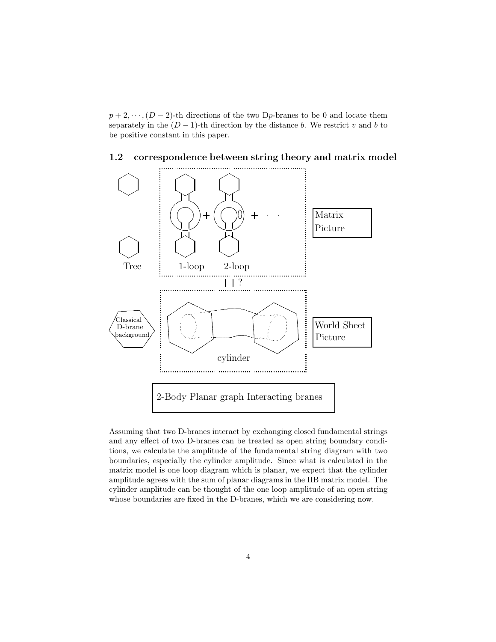$p+2,\dots,(D-2)$ -th directions of the two Dp-branes to be 0 and locate them separately in the  $(D-1)$ -th direction by the distance b. We restrict v and b to be positive constant in this paper.



#### $1.2$ correspondence between string theory and matrix model

Assuming that two D-branes interact by exchanging closed fundamental strings and any effect of two D-branes can be treated as open string boundary conditions, we calculate the amplitude of the fundamental string diagram with two boundaries, especially the cylinder amplitude. Since what is calculated in the matrix model is one loop diagram which is planar, we expect that the cylinder amplitude agrees with the sum of planar diagrams in the IIB matrix model. The cylinder amplitude can be thought of the one loop amplitude of an open string whose boundaries are fixed in the D-branes, which we are considering now.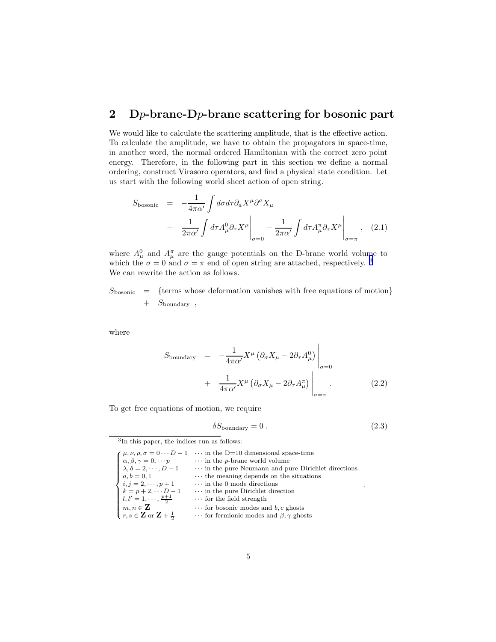# <span id="page-4-0"></span>2 D<sub>p</sub>-brane-D<sub>p</sub>-brane scattering for bosonic part

We would like to calculate the scattering amplitude, that is the effective action. To calculate the amplitude, we have to obtain the propagators in space-time, in another word, the normal ordered Hamiltonian with the correct zero point energy. Therefore, in the following part in this section we define a normal ordering, construct Virasoro operators, and find a physical state condition. Let us start with the following world sheet action of open string.

$$
S_{\text{bosonic}} = -\frac{1}{4\pi\alpha'} \int d\sigma d\tau \partial_a X^\mu \partial^a X_\mu
$$
  
+ 
$$
\frac{1}{2\pi\alpha'} \int d\tau A^0_\mu \partial_\tau X^\mu \bigg|_{\sigma=0} - \frac{1}{2\pi\alpha'} \int d\tau A^{\pi}_{\mu} \partial_\tau X^\mu \bigg|_{\sigma=\pi}, \quad (2.1)
$$

where  $A^0_\mu$  and  $A^{\pi}_{\mu}$  are the gauge potentials on the D-brane world volume to which the  $\sigma = 0$  and  $\sigma = \pi$  end of open string are attached, respectively.<sup>3</sup> We can rewrite the action as follows.

 $S_{\text{bosonic}} = \{$ terms whose deformation vanishes with free equations of motion $\}$  $+$   $S_{\text{boundary}}$ ,

where

$$
S_{\text{boundary}} = -\frac{1}{4\pi\alpha'} X^{\mu} \left( \partial_{\sigma} X_{\mu} - 2\partial_{\tau} A_{\mu}^{0} \right) \Big|_{\sigma=0}
$$
  
+ 
$$
\frac{1}{4\pi\alpha'} X^{\mu} \left( \partial_{\sigma} X_{\mu} - 2\partial_{\tau} A_{\mu}^{\pi} \right) \Big|_{\sigma=\pi}
$$
 (2.2)

To get free equations of motion, we require

$$
\delta S_{\text{boundary}} = 0. \tag{2.3}
$$

3 In this paper, the indices run as follows:

|                                                             | $\mu, \nu, \rho, \sigma = 0 \cdots D - 1$ in the D=10 dimensional space-time |
|-------------------------------------------------------------|------------------------------------------------------------------------------|
| $\alpha, \beta, \gamma = 0, \cdots p$                       | $\cdots$ in the p-brane world volume                                         |
| $\lambda, \delta = 2, \cdots, D-1$                          | $\cdots$ in the pure Neumann and pure Dirichlet directions                   |
| $a, b = 0, 1$                                               | $\cdots$ the meaning depends on the situations                               |
| <i>i</i> , $j = 2, \dots, p+1$                              | $\cdots$ in the 0 mode directions                                            |
| $k = p + 2, \cdots D - 1$                                   | $\cdots$ in the pure Dirichlet direction                                     |
| $l, l' = 1, \cdots, \frac{p+1}{2}$                          | $\cdots$ for the field strength                                              |
| $m, n \in \mathbf{Z}$                                       | $\cdots$ for bosonic modes and b, c ghosts                                   |
| $\bigcup r, s \in \mathbf{Z}$ or $\mathbf{Z} + \frac{1}{2}$ | $\cdots$ for fermionic modes and $\beta$ , $\gamma$ ghosts                   |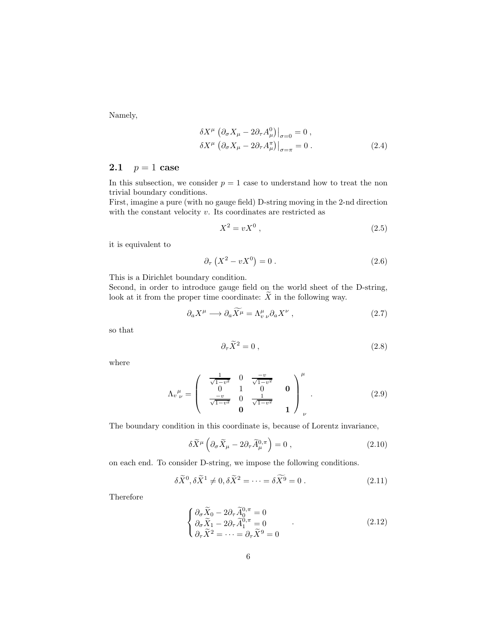Namely,

$$
\delta X^{\mu} \left. \left( \partial_{\sigma} X_{\mu} - 2 \partial_{\tau} A_{\mu}^{0} \right) \right|_{\sigma=0} = 0 ,
$$
  
\n
$$
\delta X^{\mu} \left. \left( \partial_{\sigma} X_{\mu} - 2 \partial_{\tau} A_{\mu}^{\pi} \right) \right|_{\sigma=\pi} = 0 .
$$
\n(2.4)

#### 2.1  $p = 1$  case

In this subsection, we consider  $p = 1$  case to understand how to treat the non trivial boundary conditions.

First, imagine a pure (with no gauge field) D-string moving in the 2-nd direction with the constant velocity  $v$ . Its coordinates are restricted as

$$
X^2 = vX^0 \t\t(2.5)
$$

it is equivalent to

$$
\partial_{\tau} \left( X^2 - v X^0 \right) = 0 \tag{2.6}
$$

This is a Dirichlet boundary condition.

Second, in order to introduce gauge field on the world sheet of the D-string, look at it from the proper time coordinate:  $\widetilde{X}$  in the following way.

$$
\partial_a X^\mu \longrightarrow \partial_a \widetilde{X}^\mu = \Lambda^\mu_{\nu \nu} \partial_a X^\nu , \qquad (2.7)
$$

so that

$$
\partial_{\tau}\widetilde{X}^2 = 0 \,, \tag{2.8}
$$

where

$$
\Lambda_v^{\mu}_{\nu} = \begin{pmatrix} \frac{1}{\sqrt{1-v^2}} & 0 & \frac{-v}{\sqrt{1-v^2}} & 0\\ 0 & 1 & 0 & 0\\ \frac{-v}{\sqrt{1-v^2}} & 0 & \frac{1}{\sqrt{1-v^2}} & 0\\ 0 & 0 & 1 & 0 \end{pmatrix}_{\nu}.
$$
 (2.9)

The boundary condition in this coordinate is, because of Lorentz invariance,

$$
\delta \widetilde{X}^{\mu} \left( \partial_{\sigma} \widetilde{X}_{\mu} - 2 \partial_{\tau} \widetilde{A}_{\mu}^{0,\pi} \right) = 0 , \qquad (2.10)
$$

on each end. To consider D-string, we impose the following conditions.

$$
\delta \widetilde{X}^0, \delta \widetilde{X}^1 \neq 0, \delta \widetilde{X}^2 = \dots = \delta \widetilde{X}^9 = 0.
$$
 (2.11)

Therefore

$$
\begin{cases}\n\partial_{\sigma}\widetilde{X}_0 - 2\partial_{\tau}\widetilde{A}_0^{0,\pi} = 0 \\
\partial_{\sigma}\widetilde{X}_1 - 2\partial_{\tau}\widetilde{A}_1^{0,\pi} = 0 \\
\partial_{\tau}\widetilde{X}^2 = \cdots = \partial_{\tau}\widetilde{X}^9 = 0\n\end{cases}
$$
\n(2.12)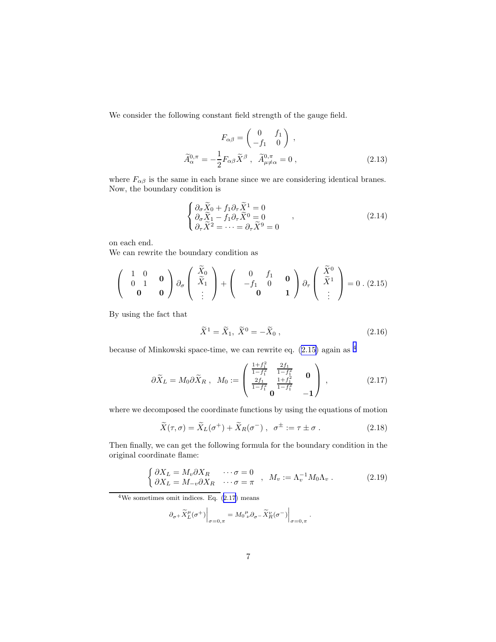We consider the following constant field strength of the gauge field.

$$
F_{\alpha\beta} = \begin{pmatrix} 0 & f_1 \\ -f_1 & 0 \end{pmatrix} ,
$$

$$
\widetilde{A}_{\alpha}^{0,\pi} = -\frac{1}{2} F_{\alpha\beta} \widetilde{X}^{\beta} , \quad \widetilde{A}_{\mu \neq \alpha}^{0,\pi} = 0 ,
$$
\n(2.13)

where  $F_{\alpha\beta}$  is the same in each brane since we are considering identical branes. Now, the boundary condition is

$$
\begin{cases}\n\partial_{\sigma}\widetilde{X}_0 + f_1 \partial_{\tau} \widetilde{X}^1 = 0 \\
\partial_{\sigma}\widetilde{X}_1 - f_1 \partial_{\tau} \widetilde{X}^0 = 0 \\
\partial_{\tau} \widetilde{X}^2 = \cdots = \partial_{\tau} \widetilde{X}^9 = 0\n\end{cases},
$$
\n(2.14)

on each end.

We can rewrite the boundary condition as

$$
\begin{pmatrix} 1 & 0 & \mathbf{0} \\ 0 & 1 & \mathbf{0} \\ \mathbf{0} & \mathbf{0} & \mathbf{0} \end{pmatrix} \partial_{\sigma} \begin{pmatrix} \widetilde{X}_{0} \\ \widetilde{X}_{1} \\ \vdots \end{pmatrix} + \begin{pmatrix} 0 & f_{1} & \mathbf{0} \\ -f_{1} & 0 & \mathbf{0} \\ \mathbf{0} & 1 \end{pmatrix} \partial_{\tau} \begin{pmatrix} \widetilde{X}^{0} \\ \widetilde{X}^{1} \\ \vdots \end{pmatrix} = 0 \ . \ (2.15)
$$

By using the fact that

$$
\widetilde{X}^1 = \widetilde{X}_1, \ \widetilde{X}^0 = -\widetilde{X}_0 \ , \tag{2.16}
$$

because of Minkowski space-time, we can rewrite eq. (2.15) again as 4

$$
\partial \widetilde{X}_L = M_0 \partial \widetilde{X}_R \ , \ M_0 := \begin{pmatrix} \frac{1+f_1^2}{1-f_1^2} & \frac{2f_1}{1-f_1^2} & \mathbf{0} \\ \frac{2f_1}{1-f_1^2} & \frac{1+f_1^2}{1-f_1^2} & \mathbf{0} \\ \mathbf{0} & -\mathbf{1} \end{pmatrix} \ , \tag{2.17}
$$

where we decomposed the coordinate functions by using the equations of motion

$$
\widetilde{X}(\tau,\sigma) = \widetilde{X}_L(\sigma^+) + \widetilde{X}_R(\sigma^-) , \quad \sigma^{\pm} := \tau \pm \sigma . \tag{2.18}
$$

Then finally, we can get the following formula for the boundary condition in the original coordinate flame:

$$
\begin{cases}\n\partial X_L = M_v \partial X_R & \cdots \sigma = 0 \\
\partial X_L = M_{-v} \partial X_R & \cdots \sigma = \pi\n\end{cases}, \quad M_v := \Lambda_v^{-1} M_0 \Lambda_v .
$$
\n(2.19)

 $4$ We sometimes omit indices. Eq.  $(2.17)$  means

$$
\partial_\sigma + \widetilde{X}^\mu_L(\sigma^+) \Big|_{\sigma=0,\pi} = M_0{}^\mu_{\,\,\nu} \partial_\sigma - \widetilde{X}^\nu_R(\sigma^-) \Big|_{\sigma=0,\pi} \ .
$$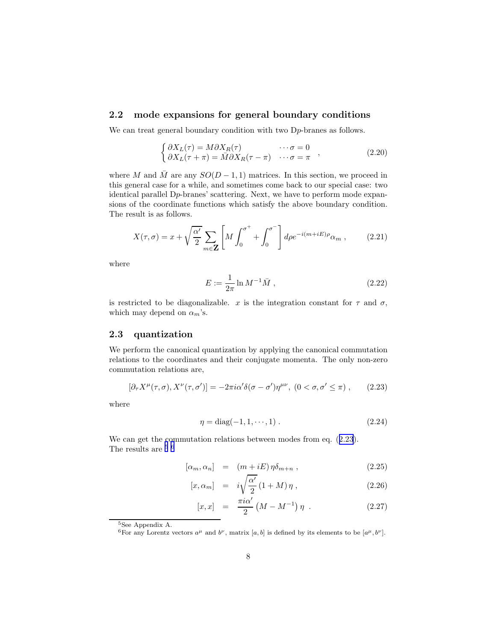#### <span id="page-7-0"></span>2.2 mode expansions for general boundary conditions

We can treat general boundary condition with two D<sub>p</sub>-branes as follows.

$$
\begin{cases}\n\partial X_L(\tau) = M \partial X_R(\tau) & \cdots \sigma = 0 \\
\partial X_L(\tau + \pi) = \bar{M} \partial X_R(\tau - \pi) & \cdots \sigma = \pi\n\end{cases}
$$
\n(2.20)

where M and  $\overline{M}$  are any  $SO(D-1,1)$  matrices. In this section, we proceed in this general case for a while, and sometimes come back to our special case: two identical parallel Dp-branes' scattering. Next, we have to perform mode expansions of the coordinate functions which satisfy the above boundary condition. The result is as follows.

$$
X(\tau,\sigma) = x + \sqrt{\frac{\alpha'}{2}} \sum_{m \in \mathbf{Z}} \left[ M \int_0^{\sigma^+} + \int_0^{\sigma^-} \right] d\rho e^{-i(m+iE)\rho} \alpha_m , \qquad (2.21)
$$

where

$$
E := \frac{1}{2\pi} \ln M^{-1} \bar{M} , \qquad (2.22)
$$

is restricted to be diagonalizable. x is the integration constant for  $\tau$  and  $\sigma$ , which may depend on  $\alpha_m$ 's.

#### 2.3 quantization

We perform the canonical quantization by applying the canonical commutation relations to the coordinates and their conjugate momenta. The only non-zero commutation relations are,

$$
[\partial_{\tau}X^{\mu}(\tau,\sigma), X^{\nu}(\tau,\sigma')] = -2\pi i \alpha' \delta(\sigma - \sigma') \eta^{\mu\nu}, (0 < \sigma, \sigma' \le \pi) , \qquad (2.23)
$$

where

$$
\eta = \text{diag}(-1, 1, \cdots, 1) \,. \tag{2.24}
$$

We can get the commutation relations between modes from eq.  $(2.23)$ . The results are  $^{\rm 5}$   $^{\rm 6}$ 

$$
[\alpha_m, \alpha_n] = (m + iE) \eta \delta_{m+n} , \qquad (2.25)
$$

$$
[x, \alpha_m] = i\sqrt{\frac{\alpha'}{2}} (1+M)\eta , \qquad (2.26)
$$

$$
[x,x] = \frac{\pi i \alpha'}{2} (M - M^{-1}) \eta . \qquad (2.27)
$$

<sup>5</sup>See Appendix A.

<sup>&</sup>lt;sup>6</sup>For any Lorentz vectors  $a^{\mu}$  and  $b^{\nu}$ , matrix [a, b] is defined by its elements to be [ $a^{\mu}, b^{\nu}$ ].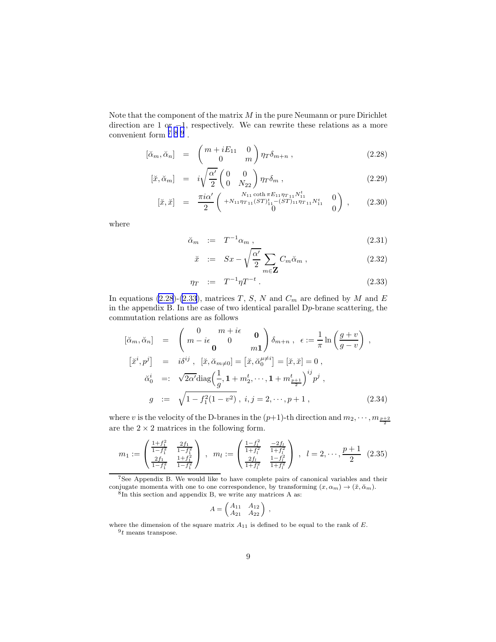<span id="page-8-0"></span>Note that the component of the matrix  $M$  in the pure Neumann or pure Dirichlet direction are 1 or −1, respectively. We can rewrite these relations as a more convenient form 7 8 9 .

$$
[\breve{\alpha}_m, \breve{\alpha}_n] = \begin{pmatrix} m + iE_{11} & 0 \\ 0 & m \end{pmatrix} \eta_T \delta_{m+n} , \qquad (2.28)
$$

$$
[\check{x}, \check{\alpha}_m] = i\sqrt{\frac{\alpha'}{2}} \begin{pmatrix} 0 & 0 \\ 0 & N_{22} \end{pmatrix} \eta_T \delta_m , \qquad (2.29)
$$

$$
\begin{array}{rcl}\n[\check{x},\check{x}] & = & \frac{\pi i \alpha'}{2} \left( \begin{array}{cc} N_{11} \coth \pi E_{11} \eta_{T_{11}} N_{11}^t & 0\\ +N_{11} \eta_{T_{11}} (ST)^t_{11} - (ST)_{11} \eta_{T_{11}} N_{11}^t & 0\\ 0 & 0 \end{array} \right) \;, \tag{2.30}\n\end{array}
$$

where

$$
\breve{\alpha}_m := T^{-1} \alpha_m , \qquad (2.31)
$$

$$
\breve{x} \quad := \quad Sx - \sqrt{\frac{\alpha'}{2}} \sum_{m \in \mathbf{Z}} C_m \breve{\alpha}_m \,, \tag{2.32}
$$

$$
\eta_T \quad := \quad T^{-1} \eta T^{-t} \ . \tag{2.33}
$$

In equations (2.28)-(2.33), matrices T, S, N and  $C_m$  are defined by M and E in the appendix B. In the case of two identical parallel  $D_p$ -brane scattering, the commutation relations are as follows

$$
[\breve{\alpha}_m, \breve{\alpha}_n] = \begin{pmatrix} 0 & m + i\epsilon & \mathbf{0} \\ m - i\epsilon & 0 & m\mathbf{1} \end{pmatrix} \delta_{m+n}, \ \epsilon := \frac{1}{\pi} \ln \left( \frac{g+v}{g-v} \right) ,
$$
  
\n
$$
[\breve{x}^i, p^j] = i\delta^{ij}, \ [\breve{x}, \breve{\alpha}_{m\neq 0}] = [\breve{x}, \breve{\alpha}_0^{\mu\neq i}] = [\breve{x}, \breve{x}] = 0 ,
$$
  
\n
$$
\breve{\alpha}_0^i =: \sqrt{2\alpha'} \text{diag}\left(\frac{1}{g}, 1 + m_2^t, \dots, 1 + m_{\frac{p+1}{2}}^t\right)^{ij} p^j ,
$$
  
\n
$$
g := \sqrt{1 - f_1^2 (1 - v^2)}, \ i, j = 2, \dots, p+1 , \tag{2.34}
$$

where  $v$  is the velocity of the D-branes in the  $(p+1)$ -th direction and  $m_2, \cdots, m_{\frac{p+2}{2}}$ are the  $2 \times 2$  matrices in the following form.

$$
m_1 := \begin{pmatrix} \frac{1+f_1^2}{1-f_1^2} & \frac{2f_1}{1-f_1^2} \\ \frac{2f_1}{1-f_1^2} & \frac{1+f_1^2}{1-f_1^2} \end{pmatrix} , \ m_l := \begin{pmatrix} \frac{1-f_l^2}{1+f_l^2} & \frac{-2f_l}{1+f_l^2} \\ \frac{2f_l}{1+f_l^2} & \frac{1-f_l^2}{1+f_l^2} \end{pmatrix} , \ l = 2, \cdots, \frac{p+1}{2} \ (2.35)
$$

$$
A = \begin{pmatrix} A_{11} & A_{12} \\ A_{21} & A_{22} \end{pmatrix} ,
$$

where the dimension of the square matrix  $A_{11}$  is defined to be equal to the rank of  $E$ .  $9t$  means transpose.

<sup>7</sup>See Appendix B. We would like to have complete pairs of canonical variables and their conjugate momenta with one to one correspondence, by transforming  $(x, \alpha_m) \to (\check{x}, \check{\alpha}_m)$ .  $8$ In this section and appendix B, we write any matrices A as: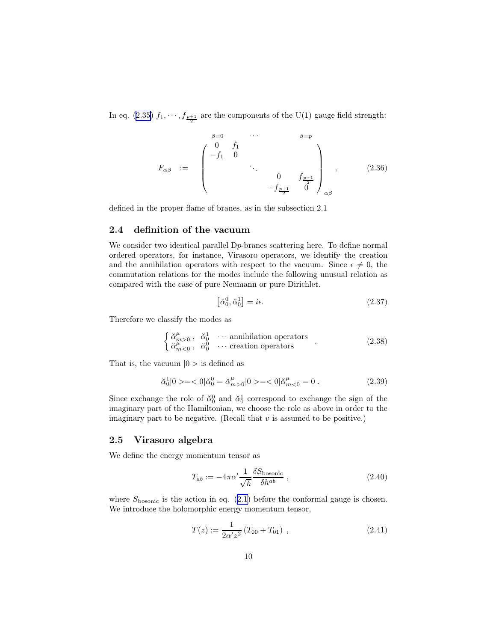<span id="page-9-0"></span>Ineq. ([2.35\)](#page-8-0)  $f_1, \dots, f_{\frac{p+1}{2}}$  are the components of the U(1) gauge field strength:

$$
F_{\alpha\beta} := \begin{pmatrix} \beta = 0 & \cdots & \beta = p \\ -f_1 & 0 & & \\ & \ddots & & \\ & & 0 & f_{\frac{p+1}{2}} \\ & & & -f_{\frac{p+1}{2}} & 0 \end{pmatrix}_{\alpha\beta}, \qquad (2.36)
$$

defined in the proper flame of branes, as in the subsection 2.1

#### 2.4 definition of the vacuum

We consider two identical parallel  $D_p$ -branes scattering here. To define normal ordered operators, for instance, Virasoro operators, we identify the creation and the annihilation operators with respect to the vacuum. Since  $\epsilon \neq 0$ , the commutation relations for the modes include the following unusual relation as compared with the case of pure Neumann or pure Dirichlet.

$$
\left[\breve{\alpha}_0^0, \breve{\alpha}_0^1\right] = i\epsilon. \tag{2.37}
$$

Therefore we classify the modes as

$$
\begin{cases}\n\breve{\alpha}^{\mu}_{m>0} , & \breve{\alpha}^{1}_{0} \quad \cdots \text{ annihilation operators} \\
\breve{\alpha}^{\mu}_{m<0} , & \breve{\alpha}^{0}_{0} \quad \cdots \text{ creation operators}\n\end{cases} (2.38)
$$

That is, the vacuum  $|0>$  is defined as

$$
\check{\alpha}_0^1|0> = <0| \check{\alpha}_0^0 = \check{\alpha}_{m>0}^\mu|0> = <0| \check{\alpha}_{m<0}^\mu = 0.
$$
\n(2.39)

Since exchange the role of  $\breve{\alpha}_0^0$  and  $\breve{\alpha}_0^1$  correspond to exchange the sign of the imaginary part of the Hamiltonian, we choose the role as above in order to the imaginary part to be negative. (Recall that  $v$  is assumed to be positive.)

#### 2.5 Virasoro algebra

We define the energy momentum tensor as

$$
T_{ab} := -4\pi\alpha' \frac{1}{\sqrt{h}} \frac{\delta S_{\text{bosonic}}}{\delta h^{ab}} , \qquad (2.40)
$$

where $S_{\text{bosonic}}$  is the action in eq.  $(2.1)$  $(2.1)$  before the conformal gauge is chosen. We introduce the holomorphic energy momentum tensor,

$$
T(z) := \frac{1}{2\alpha' z^2} \left( T_{00} + T_{01} \right) , \qquad (2.41)
$$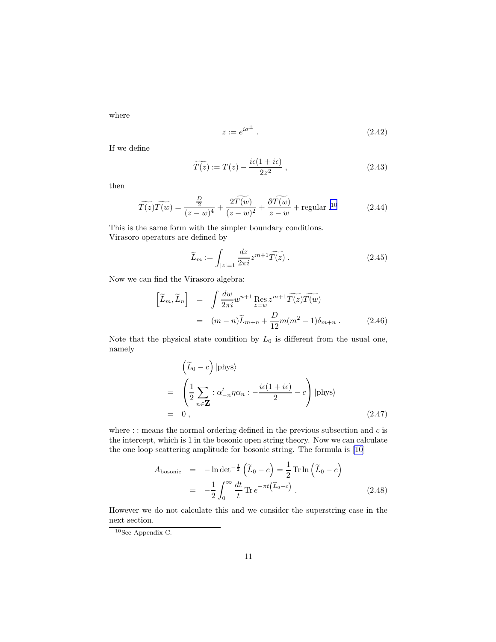where

$$
z := e^{i\sigma^{\pm}} \tag{2.42}
$$

If we define

$$
\widetilde{T(z)} := T(z) - \frac{i\epsilon(1 + i\epsilon)}{2z^2} ,\qquad(2.43)
$$

then

$$
\widetilde{T(z)}\widetilde{T(w)} = \frac{\frac{D}{2}}{(z-w)^4} + \frac{2\widetilde{T(w)}}{(z-w)^2} + \frac{\partial \widetilde{T(w)}}{z-w} + \text{regular.}^{10}
$$
\n(2.44)

This is the same form with the simpler boundary conditions. Virasoro operators are defined by

$$
\widetilde{L}_m := \int_{|z|=1} \frac{dz}{2\pi i} z^{m+1} \widetilde{T(z)} . \tag{2.45}
$$

Now we can find the Virasoro algebra:

$$
\begin{aligned}\n\left[\widetilde{L}_m, \widetilde{L}_n\right] &= \int \frac{dw}{2\pi i} w^{n+1} \operatorname{Res}_{z=w} z^{m+1} \widetilde{T(z)} \widetilde{T(w)} \\
&= (m-n)\widetilde{L}_{m+n} + \frac{D}{12} m(m^2 - 1)\delta_{m+n} \,. \tag{2.46}\n\end{aligned}
$$

Note that the physical state condition by  $L_0$  is different from the usual one, namely

$$
\left(\widetilde{L}_0 - c\right)|\text{phys}\rangle
$$
\n
$$
= \left(\frac{1}{2}\sum_{n\in\mathbf{Z}} : \alpha_{-n}^t \eta \alpha_n : -\frac{i\epsilon(1+i\epsilon)}{2} - c\right)|\text{phys}\rangle
$$
\n
$$
= 0, \qquad (2.47)
$$

where : : means the normal ordering defined in the previous subsection and  $c$  is the intercept, which is 1 in the bosonic open string theory. Now we can calculate the one loop scattering amplitude for bosonic string. The formula is [\[10](#page-34-0)]

$$
A_{\text{bosonic}} = -\ln \det^{-\frac{1}{2}} \left( \widetilde{L}_0 - c \right) = \frac{1}{2} \operatorname{Tr} \ln \left( \widetilde{L}_0 - c \right)
$$

$$
= -\frac{1}{2} \int_0^\infty \frac{dt}{t} \operatorname{Tr} e^{-\pi t \left( \widetilde{L}_0 - c \right)} . \tag{2.48}
$$

However we do not calculate this and we consider the superstring case in the next section.

 $10$ See Appendix C.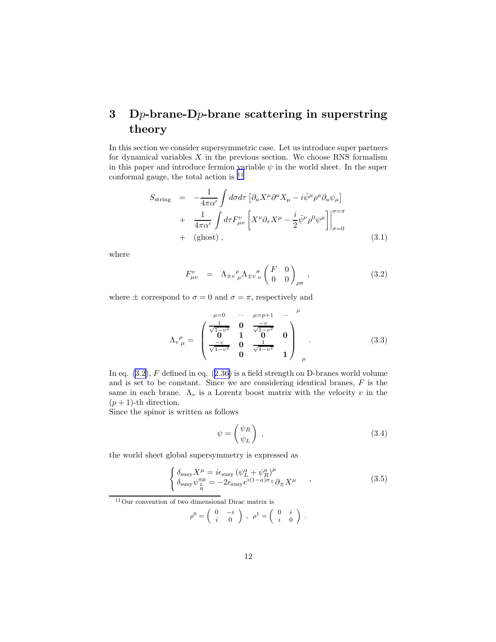# <span id="page-11-0"></span>3 Dp-brane-Dp-brane scattering in superstring theory

In this section we consider supersymmetric case. Let us introduce super partners for dynamical variables  $X$  in the previous section. We choose RNS formalism in this paper and introduce fermion variable  $\psi$  in the world sheet. In the super conformal gauge, the total action is <sup>11</sup>

$$
S_{\text{string}} = -\frac{1}{4\pi\alpha'} \int d\sigma d\tau \left[ \partial_a X^\mu \partial^a X_\mu - i \bar{\psi}^\mu \rho^a \partial_a \psi_\mu \right] + \frac{1}{4\pi\alpha'} \int d\tau F_{\mu\nu}^v \left[ X^\nu \partial_\tau X^\mu - \frac{i}{2} \bar{\psi}^\nu \rho^0 \psi^\mu \right] \Big|_{\sigma=0}^{\sigma=\pi} + (\text{ghost}) ,
$$
 (3.1)

where

$$
F^{\nu}_{\mu\nu} = \Lambda_{\pm\nu}{}^{\rho}_{\mu} \Lambda_{\pm\nu}{}^{\sigma}_{\nu} \begin{pmatrix} F & 0 \\ 0 & 0 \end{pmatrix}_{\rho\sigma} , \qquad (3.2)
$$

where  $\pm$  correspond to  $\sigma = 0$  and  $\sigma = \pi$ , respectively and

$$
\Lambda_v^{\rho}{}_{\mu} = \begin{pmatrix}\n\frac{1}{\sqrt{1-v^2}} & 0 & \frac{\mu=p+1}{\sqrt{1-v^2}} & \cdots & \mu=p+1 & \cdots & \mu=p+1 & \cdots & \mu=p+1 & \cdots & \mu\\
\frac{1}{\sqrt{1-v^2}} & 0 & \frac{1}{\sqrt{1-v^2}} & 0 & 0 & \frac{1}{\sqrt{1-v^2}} & 1\n\end{pmatrix} \mu.
$$
\n(3.3)

Ineq.  $(3.2)$ , F defined in eq.  $(2.36)$  $(2.36)$  is a field strength on D-branes world volume and is set to be constant. Since we are considering identical branes,  $F$  is the same in each brane.  $\Lambda_v$  is a Lorentz boost matrix with the velocity v in the  $(p + 1)$ -th direction.

Since the spinor is written as follows

$$
\psi = \begin{pmatrix} \psi_R \\ \psi_L \end{pmatrix} , \qquad (3.4)
$$

the world sheet global supersymmetry is expressed as

$$
\begin{cases}\n\delta_{\text{susy}} X^{\mu} = i \epsilon_{\text{susy}} \left( \psi_L^a + \psi_R^a \right)^{\mu} \\
\delta_{\text{susy}} \psi_L^{a\mu} = -2 \epsilon_{\text{susy}} e^{i(1-a)\sigma_{\pm}} \partial_{\pm} X^{\mu} \n\end{cases},
$$
\n(3.5)

<sup>11</sup>Our convention of two dimensional Dirac matrix is

$$
\rho^0=\left(\begin{array}{cc} 0 & -i \\ i & 0 \end{array}\right) \ , \ \ \rho^1=\left(\begin{array}{cc} 0 & i \\ i & 0 \end{array}\right) \ .
$$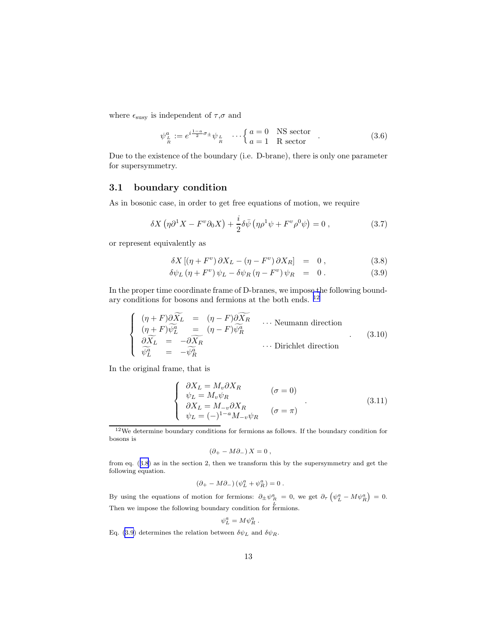<span id="page-12-0"></span>where  $\epsilon_{\rm susy}$  is independent of  $\tau,\sigma$  and

$$
\psi_{\frac{L}{R}}^{a} := e^{i\frac{1-a}{2}\sigma_{\pm}} \psi_{\frac{L}{R}} \cdots \begin{cases} a = 0 & \text{NS sector} \\ a = 1 & \text{R sector} \end{cases} . \tag{3.6}
$$

Due to the existence of the boundary (i.e. D-brane), there is only one parameter for supersymmetry.

#### 3.1 boundary condition

As in bosonic case, in order to get free equations of motion, we require

$$
\delta X \left( \eta \partial^1 X - F^v \partial_0 X \right) + \frac{i}{2} \delta \bar{\psi} \left( \eta \rho^1 \psi + F^v \rho^0 \psi \right) = 0 , \qquad (3.7)
$$

or represent equivalently as

$$
\delta X \left[ (\eta + F^v) \, \partial X_L - (\eta - F^v) \, \partial X_R \right] = 0 \,, \tag{3.8}
$$

$$
\delta\psi_L(\eta + F^v)\psi_L - \delta\psi_R(\eta - F^v)\psi_R = 0.
$$
 (3.9)

In the proper time coordinate frame of D-branes, we impose the following boundary conditions for bosons and fermions at the both ends. <sup>12</sup>

$$
\begin{cases}\n(\eta + F)\partial\widetilde{X}_L = (\eta - F)\partial\widetilde{X}_R \\
(\eta + F)\widetilde{\psi}_L^a = (\eta - F)\widetilde{\psi}_R^a \\
\partial\widetilde{X}_L = -\partial\widetilde{X}_R \\
\widetilde{\psi}_L^a = -\widetilde{\psi}_R^a\n\end{cases}
$$
... Neumann direction\n
$$
(3.10)
$$

In the original frame, that is

$$
\begin{cases}\n\partial X_L = M_v \partial X_R & (\sigma = 0) \\
\psi_L = M_v \psi_R & (\sigma = 0) \\
\partial X_L = M_{-v} \partial X_R & (\sigma = \pi) \\
\psi_L = (-)^{1-a} M_{-v} \psi_R & (\sigma = \pi)\n\end{cases}
$$
\n(3.11)

<sup>12</sup>We determine boundary conditions for fermions as follows. If the boundary condition for bosons is

$$
(\partial_+ - M \partial_-) X = 0 ,
$$

from eq. (3.8) as in the section 2, then we transform this by the supersymmetry and get the following equation.

$$
\left(\partial_+ - M \partial_-\right) \left(\psi_L^a + \psi_R^a\right) = 0 \; .
$$

By using the equations of motion for fermions:  $\partial_{\pm} \psi_R^a = 0$ , we get  $\partial_{\tau} (\psi_L^a - M \psi_R^a) = 0$ . Then we impose the following boundary condition for fermions.

$$
\psi^a_L=M\psi^a_R\;.
$$

Eq. (3.9) determines the relation between  $\delta \psi_L$  and  $\delta \psi_R$ .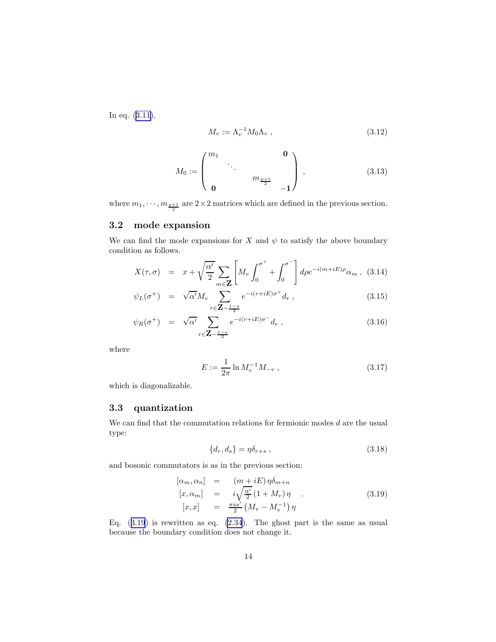In eq.([3.11\)](#page-12-0),

$$
M_v := \Lambda_v^{-1} M_0 \Lambda_v , \qquad (3.12)
$$

$$
M_0 := \begin{pmatrix} m_1 & & & & 0 \\ & \ddots & & & \\ & & m_{\frac{p+1}{2}} & \\ 0 & & & & -1 \end{pmatrix}, \qquad (3.13)
$$

where  $m_1, \dots, m_{\frac{p+1}{2}}$  are  $2 \times 2$  matrices which are defined in the previous section.

#### 3.2 mode expansion

We can find the mode expansions for X and  $\psi$  to satisfy the above boundary condition as follows.

$$
X(\tau,\sigma) = x + \sqrt{\frac{\alpha'}{2}} \sum_{m \in \mathbf{Z}} \left[ M_v \int_0^{\sigma^+} + \int_0^{\sigma^-} \right] d\rho e^{-i(m+iE)\rho} \alpha_m , \quad (3.14)
$$

$$
\psi_L(\sigma^+) = \sqrt{\alpha'} M_v \sum_{r \in \mathbb{Z} - \frac{1-a}{2}} e^{-i(r+iE)\sigma^+} d_r , \qquad (3.15)
$$

$$
\psi_R(\sigma^+) = \sqrt{\alpha'} \sum_{r \in \mathbf{Z} - \frac{1-a}{2}} e^{-i(r+iE)\sigma^-} d_r , \qquad (3.16)
$$

where

$$
E := \frac{1}{2\pi} \ln M_v^{-1} M_{-v} , \qquad (3.17)
$$

which is diagonalizable.

#### 3.3 quantization

We can find that the commutation relations for fermionic modes  $d$  are the usual type:

$$
\{d_r, d_s\} = \eta \delta_{r+s} , \qquad (3.18)
$$

and bosonic commutators is as in the previous section:

$$
[\alpha_m, \alpha_n] = (m + iE) \eta \delta_{m+n}
$$
  
\n
$$
[x, \alpha_m] = i \sqrt{\frac{\alpha'}{2}} (1 + M_v) \eta
$$
  
\n
$$
[x, x] = \frac{\pi i \alpha'}{2} (M_v - M_v^{-1}) \eta
$$
\n(3.19)

Eq.  $(3.19)$  is rewritten as eq.  $(2.34)$ . The ghost part is the same as usual because the boundary condition does not change it.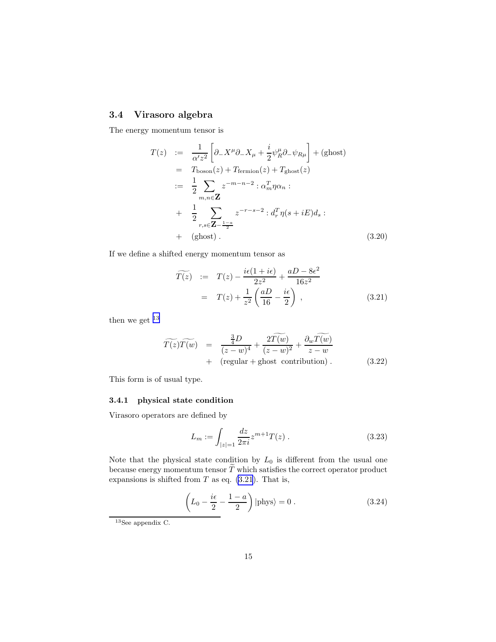### <span id="page-14-0"></span>3.4 Virasoro algebra

The energy momentum tensor is

$$
T(z) := \frac{1}{\alpha' z^2} \left[ \partial_- X^\mu \partial_- X_\mu + \frac{i}{2} \psi_R^\mu \partial_- \psi_{R\mu} \right] + (\text{ghost})
$$
  
\n
$$
= T_{\text{boson}}(z) + T_{\text{fermion}}(z) + T_{\text{ghost}}(z)
$$
  
\n
$$
:= \frac{1}{2} \sum_{m,n \in \mathbb{Z}} z^{-m-n-2} : \alpha_m^T \eta \alpha_n :
$$
  
\n
$$
+ \frac{1}{2} \sum_{r,s \in \mathbb{Z} - \frac{1-a}{2}} z^{-r-s-2} : d_r^T \eta (s + iE) d_s :
$$
  
\n
$$
+ (\text{ghost}). \tag{3.20}
$$

If we define a shifted energy momentum tensor as

$$
\widetilde{T(z)} := T(z) - \frac{i\epsilon(1 + i\epsilon)}{2z^2} + \frac{aD - 8\epsilon^2}{16z^2}
$$

$$
= T(z) + \frac{1}{z^2} \left(\frac{aD}{16} - \frac{i\epsilon}{2}\right), \qquad (3.21)
$$

then we get  $^{\rm 13}$ 

$$
\widetilde{T(z)}\widetilde{T(w)} = \frac{\frac{3}{4}D}{(z-w)^4} + \frac{2\widetilde{T(w)}}{(z-w)^2} + \frac{\partial_w \widetilde{T(w)}}{z-w} + \text{(regular + ghost contribution)}.
$$
\n(3.22)

This form is of usual type.

#### 3.4.1 physical state condition

Virasoro operators are defined by

$$
L_m := \int_{|z|=1} \frac{dz}{2\pi i} z^{m+1} T(z) . \tag{3.23}
$$

Note that the physical state condition by  $L_0$  is different from the usual one because energy momentum tensor  $\widetilde{T}$  which satisfies the correct operator product expansions is shifted from  $T$  as eq.  $(3.21)$ . That is,

$$
\left(L_0 - \frac{i\epsilon}{2} - \frac{1-a}{2}\right)|\text{phys}\rangle = 0.
$$
\n(3.24)

<sup>13</sup>See appendix C.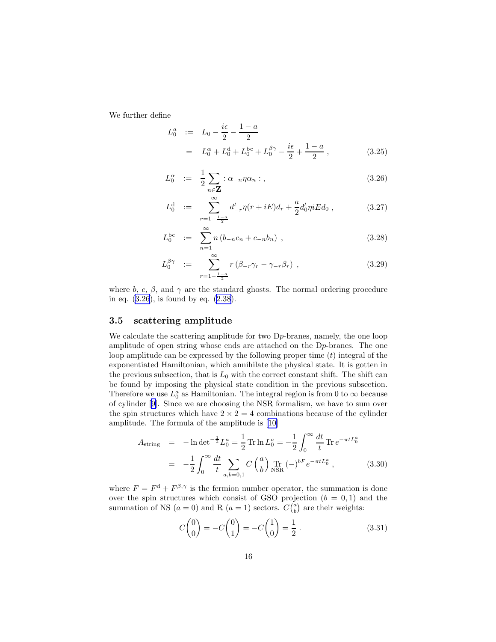<span id="page-15-0"></span>We further define

$$
L_0^a := L_0 - \frac{i\epsilon}{2} - \frac{1-a}{2}
$$
  
=  $L_0^{\alpha} + L_0^{\alpha} + L_0^{bc} + L_0^{\beta\gamma} - \frac{i\epsilon}{2} + \frac{1-a}{2}$ , (3.25)

$$
L_0^{\alpha} := \frac{1}{2} \sum_{n \in \mathbf{Z}} : \alpha_{-n} \eta \alpha_n : , \qquad (3.26)
$$

$$
L_0^d := \sum_{r=1-\frac{1-a}{2}}^{\infty} d_{-r}^t \eta(r+iE) d_r + \frac{a}{2} d_0^t \eta i E d_0 , \qquad (3.27)
$$

$$
L_0^{\text{bc}} := \sum_{n=1}^{\infty} n (b_{-n} c_n + c_{-n} b_n) , \qquad (3.28)
$$

$$
L_0^{\beta\gamma} := \sum_{r=1-\frac{1-a}{2}}^{\infty} r\left(\beta_{-r}\gamma_r - \gamma_{-r}\beta_r\right), \qquad (3.29)
$$

where b, c,  $\beta$ , and  $\gamma$  are the standard ghosts. The normal ordering procedure in eq. (3.26), is found by eq. [\(2.38](#page-9-0)).

#### 3.5 scattering amplitude

We calculate the scattering amplitude for two D<sub>p</sub>-branes, namely, the one loop amplitude of open string whose ends are attached on the Dp-branes. The one loop amplitude can be expressed by the following proper time  $(t)$  integral of the exponentiated Hamiltonian, which annihilate the physical state. It is gotten in the previous subsection, that is  $L_0$  with the correct constant shift. The shift can be found by imposing the physical state condition in the previous subsection. Therefore we use  $L_0^a$  as Hamiltonian. The integral region is from 0 to  $\infty$  because of cylinder[[9\]](#page-34-0). Since we are choosing the NSR formalism, we have to sum over the spin structures which have  $2 \times 2 = 4$  combinations because of the cylinder amplitude. The formula of the amplitude is [\[10](#page-34-0)]

$$
A_{\text{string}} = -\ln \det^{-\frac{1}{2}} L_0^a = \frac{1}{2} \operatorname{Tr} \ln L_0^a = -\frac{1}{2} \int_0^\infty \frac{dt}{t} \operatorname{Tr} e^{-\pi t L_0^a}
$$
  

$$
= -\frac{1}{2} \int_0^\infty \frac{dt}{t} \sum_{a,b=0,1} C \begin{pmatrix} a \\ b \end{pmatrix} \operatorname{Tr} (-)^{bF} e^{-\pi t L_0^a}, \qquad (3.30)
$$

where  $F = F^d + F^{\beta, \gamma}$  is the fermion number operator, the summation is done over the spin structures which consist of GSO projection  $(b = 0, 1)$  and the summation of NS  $(a = 0)$  and R  $(a = 1)$  sectors.  $C\binom{a}{b}$  are their weights:

$$
C\binom{0}{0} = -C\binom{0}{1} = -C\binom{1}{0} = \frac{1}{2}.
$$
 (3.31)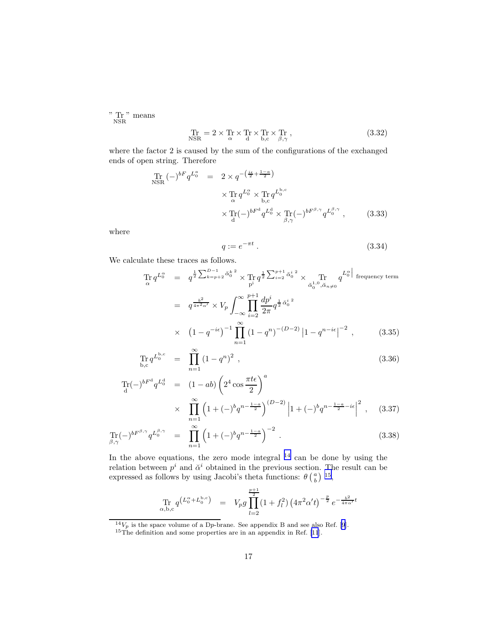" Tr " means

$$
\Pr_{\text{NSR}} = 2 \times \Pr_{\alpha} \times \Pr_{d} \times \Pr_{b,c} \times \Pr_{\beta,\gamma}, \tag{3.32}
$$

where the factor 2 is caused by the sum of the configurations of the exchanged ends of open string. Therefore

$$
\begin{array}{rcl}\n\text{Tr} \left(-\right)^{bF} q^{L_0^a} &=& 2 \times q^{-\left(\frac{i\epsilon}{2} + \frac{1-a}{2}\right)} \\
&\times \text{Tr} \, q^{L_0^{\alpha}} \times \text{Tr} \, q^{L_0^{b,c}} \\
&\times \text{Tr}(-\right)^{bF^d} q^{L_0^d} \times \text{Tr}(-\right)^{bF^{\beta,\gamma}} q^{L_0^{\beta,\gamma}} \,,\n\end{array} \tag{3.33}
$$

where

$$
q := e^{-\pi t} \tag{3.34}
$$

We calculate these traces as follows.

$$
\begin{split}\n\operatorname{Tr} q^{L_0^{\alpha}} &= q^{\frac{1}{2} \sum_{k=p+2}^{D-1} \check{\alpha}_0^{k^2}} \times \operatorname{Tr} q^{\frac{1}{2} \sum_{i=2}^{p+1} \check{\alpha}_0^{i^2}} \times \operatorname{Tr} q^{L_0^{\alpha}} \text{ frequency term} \\
&= q^{\frac{b^2}{4\pi^2 \alpha'}} \times V_p \int_{-\infty}^{\infty} \prod_{i=2}^{p+1} \frac{dp^i}{2\pi} q^{\frac{1}{2} \check{\alpha}_0^{i^2}} \\
&\times \quad (1-q^{-i\epsilon})^{-1} \prod_{n=1}^{\infty} (1-q^n)^{-(D-2)} \left|1-q^{n-i\epsilon}\right|^{-2},\n\end{split} \tag{3.35}
$$

$$
\Pr_{b,c} q^{L_0^{b,c}} = \prod_{n=1}^{\infty} (1 - q^n)^2 , \qquad (3.36)
$$

$$
\begin{array}{rcl}\n\text{Tr}(-)^{bF^d} q^{L_0^d} & = & (1 - ab) \left( 2^4 \cos \frac{\pi t \epsilon}{2} \right)^a \\
& \times & \prod_{n=1}^{\infty} \left( 1 + (-)^b q^{n - \frac{1 - a}{2}} \right)^{(D - 2)} \left| 1 + (-)^b q^{n - \frac{1 - a}{2} - i\epsilon} \right|^2 \,, \quad (3.37)\n\end{array}
$$

$$
\Pr_{\beta,\gamma}(-)^{bF^{\beta,\gamma}}q^{L_0^{\beta,\gamma}} = \prod_{n=1}^{\infty} \left(1+(-)^b q^{n-\frac{1-a}{2}}\right)^{-2}.
$$
\n(3.38)

In the above equations, the zero mode integral  $14$  can be done by using the relation between  $p^i$  and  $\check{\alpha}^i$  obtained in the previous section. The result can be expressed as follows by using Jacobi's theta functions:  $\theta\left(\frac{a}{b}\right)$ <sup>15</sup>,

$$
\Pr_{\alpha, b, c} q^{\left(L_0^{\alpha} + L_0^{b, c}\right)} = V_p g \prod_{l=2}^{\frac{p+1}{2}} (1 + f_l^2) \left(4\pi^2 \alpha' t\right)^{-\frac{p}{2}} e^{-\frac{b^2}{4\pi \alpha'} t}
$$

 $^{14}V_p$ is the space volume of a Dp-brane. See appendix B and see also Ref. [[9](#page-34-0)].

 $15$ The definition and some properties are in an appendix in Ref. [\[11](#page-34-0)].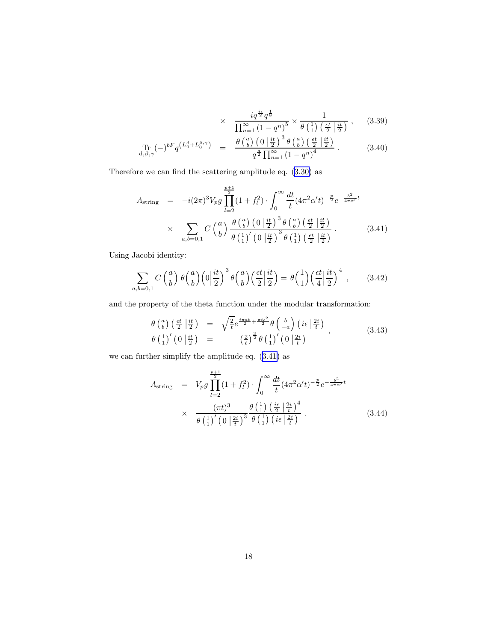$$
\times \quad \frac{i q^{\frac{i\epsilon}{2}} q^{\frac{1}{8}}}{\prod_{n=1}^{\infty} (1 - q^n)^5} \times \frac{1}{\theta \left(\frac{1}{1}\right) \left(\frac{\epsilon t}{2} \middle| \frac{i t}{2}\right)},\tag{3.39}
$$

$$
\Pr_{\mathbf{d},\beta,\gamma}(-)^{bF}q^{\left(L_{0}^{\mathbf{d}}+L_{0}^{\beta,\gamma}\right)} = \frac{\theta\left(\begin{array}{c}a\\b\end{array}\right)\left(0\left|\frac{it}{2}\right.\right)^{3}\theta\left(\begin{array}{c}a\\b\end{array}\right)\left(\frac{\epsilon t}{2}\left|\frac{it}{2}\right.\right)}{q^{\frac{a}{2}}\prod_{n=1}^{\infty}\left(1-q^{n}\right)^{4}}.
$$
\n(3.40)

Therefore we can find the scattering amplitude eq.([3.30\)](#page-15-0) as

$$
A_{\text{string}} = -i(2\pi)^3 V_p g \prod_{l=2}^{\frac{p+1}{2}} (1+f_l^2) \cdot \int_0^\infty \frac{dt}{t} (4\pi^2 \alpha' t)^{-\frac{p}{2}} e^{-\frac{b^2}{4\pi \alpha'} t}
$$
  
 
$$
\times \sum_{a,b=0,1} C \left(\frac{a}{b}\right) \frac{\theta \left(\frac{a}{b}\right) \left(0 \left|\frac{it}{2}\right.\right)^3 \theta \left(\frac{a}{b}\right) \left(\frac{\epsilon t}{2} \left|\frac{it}{2}\right.\right)}{\theta \left(\frac{1}{1}\right)' \left(0 \left|\frac{it}{2}\right.\right)^3 \theta \left(\frac{1}{1}\right) \left(\frac{\epsilon t}{2} \left|\frac{it}{2}\right.\right)}.
$$
 (3.41)

Using Jacobi identity:

$$
\sum_{a,b=0,1} C\binom{a}{b} \theta\binom{a}{b} \left(0\left|\frac{it}{2}\right|^3 \theta\binom{a}{b} \left(\frac{\epsilon t}{2}\left|\frac{it}{2}\right.\right) = \theta\binom{1}{1} \left(\frac{\epsilon t}{4}\left|\frac{it}{2}\right.\right)^4 ,\qquad(3.42)
$$

and the property of the theta function under the modular transformation:

$$
\begin{array}{rcl}\n\theta \left( \begin{array}{c} a \\ b \end{array} \right) \left( \frac{\epsilon t}{2} \left| \frac{it}{2} \right. \right) & = & \sqrt{\frac{2}{t}} e^{\frac{i\pi ab}{2} + \frac{\pi t \epsilon^2}{2}} \theta \left( \begin{array}{c} b \\ -a \end{array} \right) \left( i\epsilon \left| \frac{2i}{t} \right. \right) \\
\theta \left( \begin{array}{c} 1 \end{array} \right)' \left( 0 \left| \frac{it}{2} \right. \right) & = & \left( \frac{2}{t} \right)^{\frac{3}{2}} \theta \left( \begin{array}{c} 1 \end{array} \right)' \left( 0 \left| \frac{2i}{t} \right. \right)\n\end{array}\n\tag{3.43}
$$

we can further simplify the amplitude eq. (3.41) as

$$
A_{\text{string}} = V_p g \prod_{l=2}^{\frac{p+1}{2}} (1 + f_l^2) \cdot \int_0^\infty \frac{dt}{t} (4\pi^2 \alpha' t)^{-\frac{p}{2}} e^{-\frac{b^2}{4\pi \alpha'} t}
$$
  
 
$$
\times \frac{(\pi t)^3}{\theta \left(\frac{1}{1}\right)' \left(0 \left|\frac{2i}{t}\right|\right)^3} \frac{\theta \left(\frac{1}{1}\right) \left(\frac{i\epsilon}{2} \left|\frac{2i}{t}\right|\right)^4}{\theta \left(\frac{1}{1}\right)' \left(i\epsilon \left|\frac{2i}{t}\right|\right)}.
$$
 (3.44)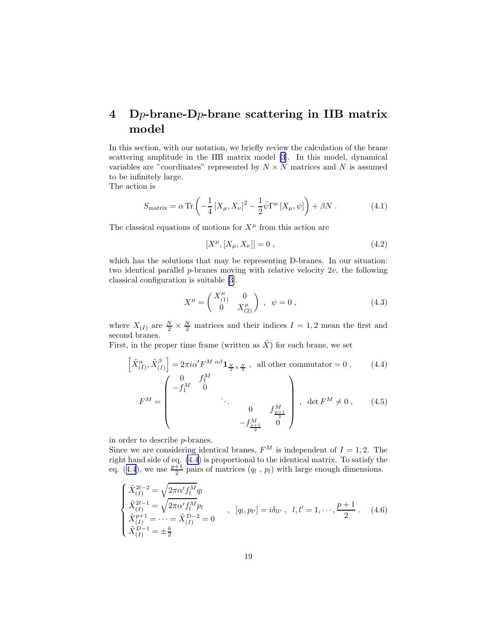# 4 Dp-brane-Dp-brane scattering in IIB matrix model

In this section, with our notation, we briefly review the calculation of the brane scattering amplitude in the IIB matrix model [\[3](#page-34-0)]. In this model, dynamical variables are "coordinates" represented by  $N \times N$  matrices and N is assumed to be infinitely large.

The action is

$$
S_{\text{matrix}} = \alpha \operatorname{Tr} \left( -\frac{1}{4} \left[ X_{\mu}, X_{\nu} \right]^2 - \frac{1}{2} \bar{\psi} \Gamma^{\mu} \left[ X_{\mu}, \psi \right] \right) + \beta N \,. \tag{4.1}
$$

The classical equations of motions for  $X^{\mu}$  from this action are

$$
[X^{\mu}, [X_{\mu}, X_{\nu}]] = 0 , \qquad (4.2)
$$

which has the solutions that may be representing D-branes. In our situation: two identical parallel  $p$ -branes moving with relative velocity  $2v$ , the following classical configuration is suitable [\[3](#page-34-0)].

$$
X^{\mu} = \begin{pmatrix} X^{\mu}_{(1)} & 0 \\ 0 & X^{\mu}_{(2)} \end{pmatrix} , \quad \psi = 0 , \tag{4.3}
$$

where  $X_{(I)}$  are  $\frac{N}{2} \times \frac{N}{2}$  matrices and their indices  $I = 1, 2$  mean the first and second branes.

First, in the proper time frame (written as  $\tilde{X}$ ) for each brane, we set

$$
\left[\tilde{X}_{(I)}^{\alpha}, \tilde{X}_{(I)}^{\beta}\right] = 2\pi i \alpha' F^{M \alpha \beta} \mathbf{1}_{\frac{N}{2} \times \frac{N}{2}}, \text{ all other commutator} = 0, \qquad (4.4)
$$
\n
$$
F^{M} = \begin{pmatrix} 0 & f_{1}^{M} \\ -f_{1}^{M} & 0 \\ & \ddots & \ddots \\ & & 0 & f_{\frac{p+1}{2}}^{M} \\ & & & -f_{\frac{p+1}{2}}^{M} \end{pmatrix}, \text{ det } F^{M} \neq 0, \qquad (4.5)
$$

in order to describe p-branes.

Since we are considering identical branes,  $F^M$  is independent of  $I = 1, 2$ . The right hand side of eq. (4.4) is proportional to the identical matrix. To satisfy the eq. (4.4), we use  $\frac{p+1}{2}$  pairs of matrices  $(q_l, p_l)$  with large enough dimensions.

$$
\begin{cases}\n\tilde{X}_{(I)}^{2l-2} = \sqrt{2\pi\alpha' f_l^M} q_l \\
\tilde{X}_{(I)}^{2l-1} = \sqrt{2\pi\alpha' f_l^M} p_l \\
\tilde{X}_{(I)}^{p+1} = \cdots = \tilde{X}_{(I)}^{D-2} = 0\n\end{cases}, \quad [q_l, p_{l'}] = i\delta_{ll'}, \quad l, l' = 1, \cdots, \frac{p+1}{2}.\tag{4.6}
$$
\n
$$
\tilde{X}_{(I)}^{p-1} = \pm \frac{b}{2}
$$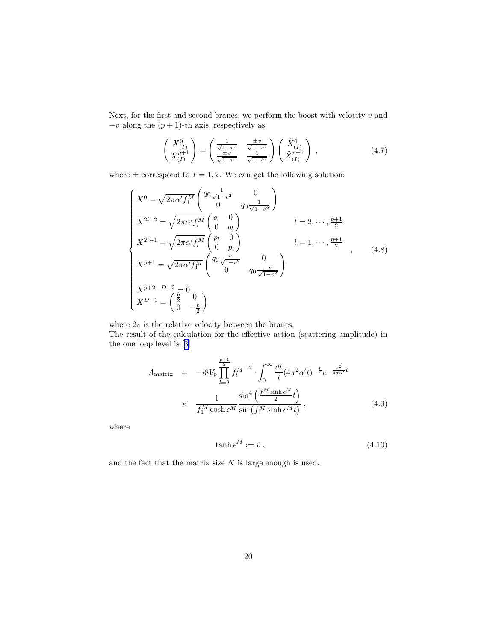Next, for the first and second branes, we perform the boost with velocity  $v$  and  $-v$  along the  $(p + 1)$ -th axis, respectively as

$$
\begin{pmatrix} X_{(I)}^0 \\ X_{(I)}^{p+1} \end{pmatrix} = \begin{pmatrix} \frac{1}{\sqrt{1-v^2}} & \frac{\pm v}{\sqrt{1-v^2}} \\ \frac{\pm v}{\sqrt{1-v^2}} & \frac{1}{\sqrt{1-v^2}} \end{pmatrix} \begin{pmatrix} \tilde{X}_{(I)}^0 \\ \tilde{X}_{(I)}^{p+1} \end{pmatrix} , \qquad (4.7)
$$

where  $\pm$  correspond to  $I = 1, 2$ . We can get the following solution:

$$
\begin{cases}\nX^{0} = \sqrt{2\pi\alpha' f_{1}^{M}} \begin{pmatrix}\nq_{0} \frac{1}{\sqrt{1-v^{2}}} & 0 \\
0 & q_{0} \frac{1}{\sqrt{1-v^{2}}}\n\end{pmatrix} \\
X^{2l-2} = \sqrt{2\pi\alpha' f_{l}^{M}} \begin{pmatrix}\nq_{l} & 0 \\
0 & q_{l}\n\end{pmatrix} & l = 2, \dots, \frac{p+1}{2} \\
X^{2l-1} = \sqrt{2\pi\alpha' f_{l}^{M}} \begin{pmatrix}\np_{l} & 0 \\
0 & p_{l}\n\end{pmatrix} & l = 1, \dots, \frac{p+1}{2} \\
X^{p+1} = \sqrt{2\pi\alpha' f_{1}^{M}} \begin{pmatrix}\nq_{0} \frac{v}{\sqrt{1-v^{2}}} & 0 \\
0 & q_{0} \frac{-v}{\sqrt{1-v^{2}}}\n\end{pmatrix} \\
X^{p+2\cdots D-2} = 0 \\
X^{D-1} = \begin{pmatrix}\n\frac{b}{2} & 0 \\
0 & -\frac{b}{2}\n\end{pmatrix}\n\end{cases}
$$
\n(4.8)

where  $2v$  is the relative velocity between the branes.

The result of the calculation for the effective action (scattering amplitude) in the one loop level is[[3\]](#page-34-0)

$$
A_{\text{matrix}} = -i8V_p \prod_{l=2}^{\frac{p+1}{2}} f_l^{M-2} \cdot \int_0^\infty \frac{dt}{t} (4\pi^2 \alpha' t)^{-\frac{p}{2}} e^{-\frac{b^2}{4\pi \alpha'}t}
$$
  
 
$$
\times \frac{1}{f_1^M \cosh \epsilon^M} \frac{\sin^4 \left(\frac{f_1^M \sinh \epsilon^M}{2} t\right)}{\sin \left(f_1^M \sinh \epsilon^M t\right)}, \qquad (4.9)
$$

where

$$
\tanh \epsilon^M := v \t{,} \t(4.10)
$$

and the fact that the matrix size  $N$  is large enough is used.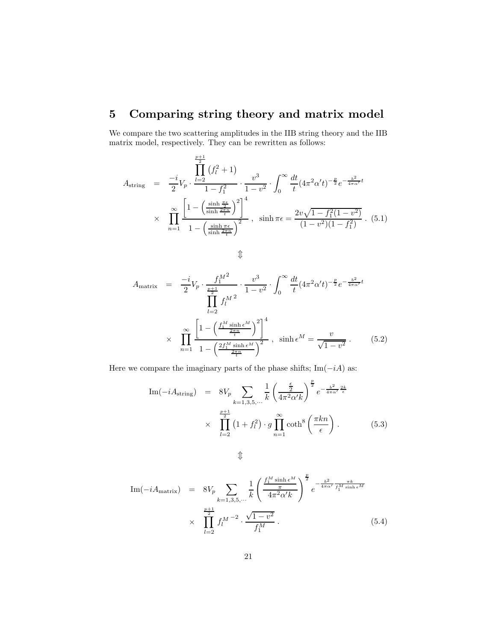# <span id="page-20-0"></span>5 Comparing string theory and matrix model

We compare the two scattering amplitudes in the IIB string theory and the IIB matrix model, respectively. They can be rewritten as follows:

$$
A_{\text{string}} = \frac{-i}{2} V_p \cdot \frac{\prod_{l=2}^{\frac{p+1}{2}} (f_l^2 + 1)}{1 - f_1^2} \cdot \frac{v^3}{1 - v^2} \cdot \int_0^\infty \frac{dt}{t} (4\pi^2 \alpha' t)^{-\frac{p}{2}} e^{-\frac{b^2}{4\pi \alpha'} t}
$$
  
 
$$
\times \prod_{n=1}^\infty \frac{\left[1 - \left(\frac{\sinh \frac{\pi \epsilon}{2}}{\sinh \frac{2\pi n}{t}}\right)^2\right]^4}{1 - \left(\frac{\sinh \pi \epsilon}{\sinh \frac{2\pi n}{t}}\right)^2}, \quad \sinh \pi \epsilon = \frac{2v \sqrt{1 - f_1^2 (1 - v^2)}}{(1 - v^2)(1 - f_1^2)} \quad (5.1)
$$

 $\hat{L}$ 

$$
A_{\text{matrix}} = \frac{-i}{2} V_p \cdot \frac{f_1^{M^2}}{\prod_{l=2}^{\frac{p+1}{2}}} \cdot \frac{v^3}{1 - v^2} \cdot \int_0^{\infty} \frac{dt}{t} (4\pi^2 \alpha' t)^{-\frac{p}{2}} e^{-\frac{b^2}{4\pi\alpha'}t}
$$
  
 
$$
\times \prod_{n=1}^{\infty} \frac{\left[1 - \left(\frac{f_1^M \sinh \epsilon^M}{\frac{2\pi n}{t}}\right)^2\right]^4}{1 - \left(\frac{2f_1^M \sinh \epsilon^M}{\frac{2\pi n}{t}}\right)^2}, \quad \sinh \epsilon^M = \frac{v}{\sqrt{1 - v^2}} \,. \tag{5.2}
$$

Here we compare the imaginary parts of the phase shifts;  $\text{Im}(-iA)$  as:

Im(-*i*A<sub>string</sub>) = 
$$
8V_p \sum_{k=1,3,5,\cdots} \frac{1}{k} \left(\frac{\frac{\epsilon}{2}}{4\pi^2 \alpha' k}\right)^{\frac{p}{2}} e^{-\frac{b^2}{4\pi \alpha'} \frac{2k}{\epsilon}}
$$
  
  $\times \prod_{l=2}^{\frac{p+1}{2}} (1+f_l^2) \cdot g \prod_{n=1}^{\infty} \coth^8 \left(\frac{\pi k n}{\epsilon}\right).$  (5.3)

$$
\textcolor{red}{\textcircled{\downarrow}}
$$

Im(-*i*A<sub>matrix</sub>) = 
$$
8V_p \sum_{k=1,3,5,\cdots} \frac{1}{k} \left( \frac{\frac{f_1^M \sinh \epsilon^M}{\pi}}{4\pi^2 \alpha' k} \right)^{\frac{p}{2}} e^{-\frac{b^2}{4\pi \alpha'} \frac{\pi k}{f_1^M \sinh \epsilon^M}}
$$
  
  $\times \prod_{l=2}^{\frac{p+1}{2}} f_l^{M-2} \cdot \frac{\sqrt{1-v^2}}{f_1^M}.$  (5.4)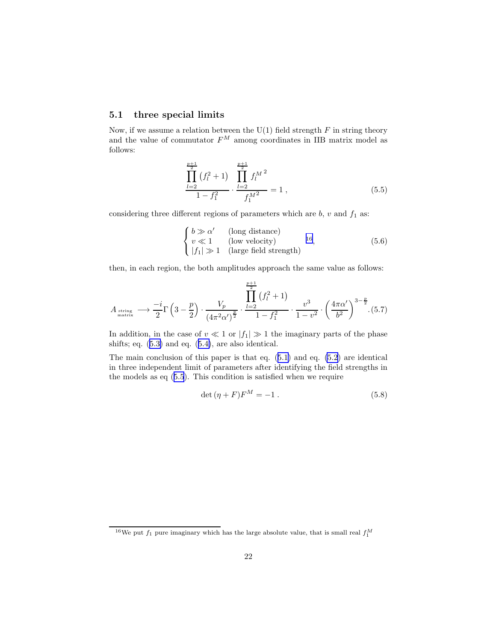#### 5.1 three special limits

Now, if we assume a relation between the U(1) field strength  $F$  in string theory and the value of commutator  $F^M$  among coordinates in IIB matrix model as follows:

$$
\frac{\prod_{l=2}^{\frac{p+1}{2}}(f_l^2+1)}{1-f_1^2} \cdot \frac{\prod_{l=2}^{\frac{p+1}{2}}f_l^{M^2}}{f_1^{M^2}} = 1 ,
$$
\n(5.5)

considering three different regions of parameters which are  $b$ ,  $v$  and  $f_1$  as:

$$
\begin{cases}\nb \gg \alpha' & \text{(long distance)} \\
v \ll 1 & \text{(low velocity)} \\
|f_1| \gg 1 & \text{(large field strength)}\n\end{cases} \tag{5.6}
$$

then, in each region, the both amplitudes approach the same value as follows:

$$
A_{\text{string}} \longrightarrow \frac{-i}{2} \Gamma \left( 3 - \frac{p}{2} \right) \cdot \frac{V_p}{\left( 4\pi^2 \alpha' \right)^{\frac{p}{2}}} \cdot \frac{\prod_{l=2}^{\frac{p+1}{2}} \left( f_l^2 + 1 \right)}{1 - f_1^2} \cdot \frac{v^3}{1 - v^2} \cdot \left( \frac{4\pi \alpha'}{b^2} \right)^{3 - \frac{p}{2}}. (5.7)
$$

In addition, in the case of  $v \ll 1$  or  $|f_1| \gg 1$  the imaginary parts of the phase shifts; eq.([5.3\)](#page-20-0) and eq.([5.4\)](#page-20-0), are also identical.

The main conclusion of this paper is that eq.([5.1\)](#page-20-0) and eq. [\(5.2](#page-20-0)) are identical in three independent limit of parameters after identifying the field strengths in the models as eq (5.5). This condition is satisfied when we require

$$
\det(\eta + F)F^M = -1.
$$
\n(5.8)

<sup>&</sup>lt;sup>16</sup>We put  $f_1$  pure imaginary which has the large absolute value, that is small real  $f_1^M$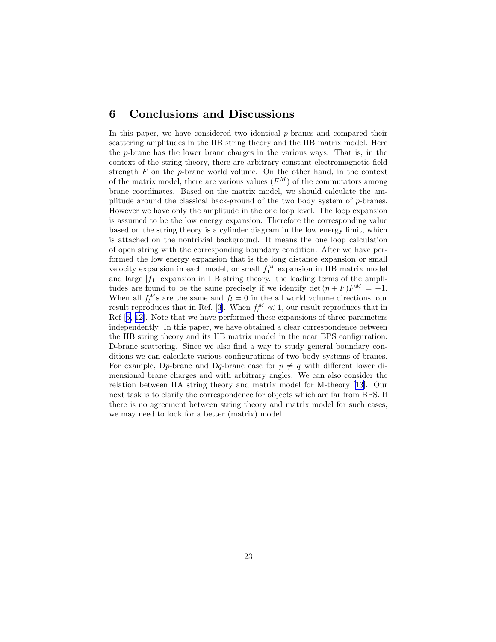### 6 Conclusions and Discussions

In this paper, we have considered two identical  $p$ -branes and compared their scattering amplitudes in the IIB string theory and the IIB matrix model. Here the p-brane has the lower brane charges in the various ways. That is, in the context of the string theory, there are arbitrary constant electromagnetic field strength  $F$  on the  $p$ -brane world volume. On the other hand, in the context of the matrix model, there are various values  $(F^M)$  of the commutators among brane coordinates. Based on the matrix model, we should calculate the amplitude around the classical back-ground of the two body system of  $p$ -branes. However we have only the amplitude in the one loop level. The loop expansion is assumed to be the low energy expansion. Therefore the corresponding value based on the string theory is a cylinder diagram in the low energy limit, which is attached on the nontrivial background. It means the one loop calculation of open string with the corresponding boundary condition. After we have performed the low energy expansion that is the long distance expansion or small velocity expansion in each model, or small  $f_1^M$  expansion in IIB matrix model and large  $|f_1|$  expansion in IIB string theory. the leading terms of the amplitudes are found to be the same precisely if we identify det  $(\eta + F)F^M = -1$ . When all  $f_l^M$ s are the same and  $f_l = 0$  in the all world volume directions, our resultreproduces that in Ref. [[3\]](#page-34-0). When  $f_l^M \ll 1$ , our result reproduces that in Ref[[5, 12\]](#page-34-0). Note that we have performed these expansions of three parameters independently. In this paper, we have obtained a clear correspondence between the IIB string theory and its IIB matrix model in the near BPS configuration: D-brane scattering. Since we also find a way to study general boundary conditions we can calculate various configurations of two body systems of branes. For example, D<sub>p</sub>-brane and D<sub>q</sub>-brane case for  $p \neq q$  with different lower dimensional brane charges and with arbitrary angles. We can also consider the relation between IIA string theory and matrix model for M-theory [[13\]](#page-34-0). Our next task is to clarify the correspondence for objects which are far from BPS. If there is no agreement between string theory and matrix model for such cases, we may need to look for a better (matrix) model.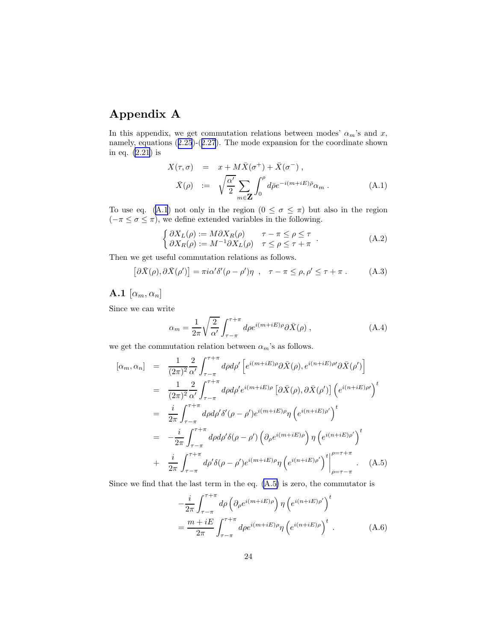# <span id="page-23-0"></span>Appendix A

In this appendix, we get commutation relations between modes'  $\alpha_m$ 's and x, namely, equations([2.25](#page-7-0))-([2.27](#page-7-0)). The mode expansion for the coordinate shown in eq. [\(2.21](#page-7-0)) is

$$
X(\tau, \sigma) = x + M\bar{X}(\sigma^+) + \bar{X}(\sigma^-),
$$
  
\n
$$
\bar{X}(\rho) := \sqrt{\frac{\alpha'}{2}} \sum_{m \in \mathbf{Z}} \int_0^{\rho} d\bar{\rho} e^{-i(m + iE)\bar{\rho}} \alpha_m.
$$
\n(A.1)

To use eq. (A.1) not only in the region  $(0 \le \sigma \le \pi)$  but also in the region  $(-\pi \leq \sigma \leq \pi)$ , we define extended variables in the following.

$$
\begin{cases}\n\partial X_L(\rho) := M \partial X_R(\rho) & \tau - \pi \le \rho \le \tau \\
\partial X_R(\rho) := M^{-1} \partial X_L(\rho) & \tau \le \rho \le \tau + \pi\n\end{cases}.
$$
\n(A.2)

Then we get useful commutation relations as follows.

$$
[\partial \bar{X}(\rho), \partial \bar{X}(\rho')] = \pi i \alpha' \delta' (\rho - \rho') \eta \ , \quad \tau - \pi \le \rho, \rho' \le \tau + \pi \ . \tag{A.3}
$$

### **A.1**  $[\alpha_m, \alpha_n]$

Since we can write

$$
\alpha_m = \frac{1}{2\pi} \sqrt{\frac{2}{\alpha'}} \int_{\tau - \pi}^{\tau + \pi} d\rho e^{i(m + iE)\rho} \partial \bar{X}(\rho) , \qquad (A.4)
$$

we get the commutation relation between  $\alpha_m$  's as follows.

$$
[\alpha_m, \alpha_n] = \frac{1}{(2\pi)^2} \frac{2}{\alpha'} \int_{\tau-\pi}^{\tau+\pi} d\rho d\rho' \left[ e^{i(m+iE)\rho} \partial \bar{X}(\rho), e^{i(n+iE)\rho} \partial \bar{X}(\rho') \right]
$$
  
\n
$$
= \frac{1}{(2\pi)^2} \frac{2}{\alpha'} \int_{\tau-\pi}^{\tau+\pi} d\rho d\rho' e^{i(m+iE)\rho} \left[ \partial \bar{X}(\rho), \partial \bar{X}(\rho') \right] \left( e^{i(n+iE)\rho'} \right)^t
$$
  
\n
$$
= \frac{i}{2\pi} \int_{\tau-\pi}^{\tau+\pi} d\rho d\rho' \delta'(\rho-\rho') e^{i(m+iE)\rho} \eta \left( e^{i(n+iE)\rho'} \right)^t
$$
  
\n
$$
= -\frac{i}{2\pi} \int_{\tau-\pi}^{\tau+\pi} d\rho d\rho' \delta(\rho-\rho') \left( \partial_\rho e^{i(m+iE)\rho} \right) \eta \left( e^{i(n+iE)\rho'} \right)^t
$$
  
\n
$$
+ \frac{i}{2\pi} \int_{\tau-\pi}^{\tau+\pi} d\rho' \delta(\rho-\rho') e^{i(m+iE)\rho} \eta \left( e^{i(n+iE)\rho'} \right)^t \Big|_{\rho=\tau-\pi}^{\rho=\tau+\pi} .
$$
 (A.5)

Since we find that the last term in the eq.  $(A.5)$  is zero, the commutator is

$$
-\frac{i}{2\pi} \int_{\tau-\pi}^{\tau+\pi} d\rho \left(\partial_{\rho} e^{i(m+iE)\rho}\right) \eta \left(e^{i(n+iE)\rho'}\right)^{t}
$$

$$
=\frac{m+iE}{2\pi} \int_{\tau-\pi}^{\tau+\pi} d\rho e^{i(m+iE)\rho} \eta \left(e^{i(n+iE)\rho}\right)^{t} . \tag{A.6}
$$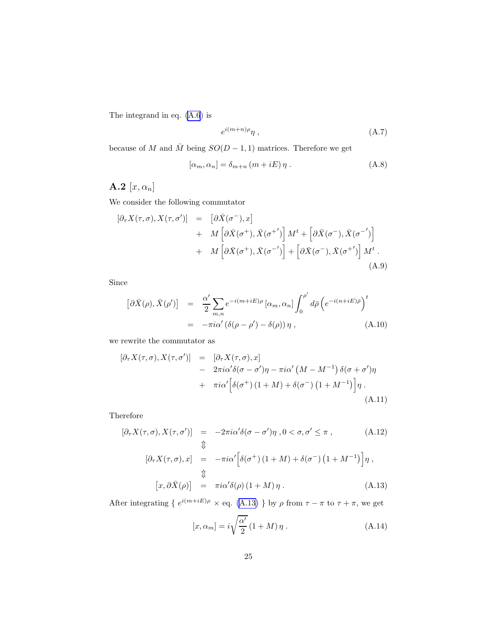The integrand in eq. [\(A.6](#page-23-0)) is

$$
e^{i(m+n)\rho}\eta\ ,\qquad (A.7)
$$

because of M and  $\overline{M}$  being  $SO(D-1,1)$  matrices. Therefore we get

$$
[\alpha_m, \alpha_n] = \delta_{m+n} (m + iE) \eta . \tag{A.8}
$$

# **A.2**  $[x, \alpha_n]$

We consider the following commutator

$$
\begin{aligned}\n[\partial_{\tau} X(\tau,\sigma), X(\tau,\sigma')] &= \left[ \partial \bar{X}(\sigma^-), x \right] \\
&+ M \left[ \partial \bar{X}(\sigma^+), \bar{X}(\sigma^{+'}) \right] M^t + \left[ \partial \bar{X}(\sigma^-), \bar{X}(\sigma^{-'}) \right] \\
&+ M \left[ \partial \bar{X}(\sigma^+), \bar{X}(\sigma^{-'}) \right] + \left[ \partial \bar{X}(\sigma^-), \bar{X}(\sigma^{+'}) \right] M^t \,. \tag{A.9}\n\end{aligned}
$$

Since

$$
\begin{aligned}\n\left[\partial\bar{X}(\rho),\bar{X}(\rho')\right] &= \frac{\alpha'}{2} \sum_{m,n} e^{-i(m+iE)\rho} \left[\alpha_m,\alpha_n\right] \int_0^{\rho'} d\bar{\rho} \left(e^{-i(n+iE)\bar{\rho}}\right)^t \\
&= -\pi i \alpha' \left(\delta(\rho-\rho')-\delta(\rho)\right) \eta \,,\n\end{aligned} \tag{A.10}
$$

we rewrite the commutator as

$$
\begin{aligned}\n[\partial_{\tau}X(\tau,\sigma), X(\tau,\sigma')] &= \left[ \partial_{\tau}X(\tau,\sigma), x \right] \\
&- 2\pi i \alpha' \delta(\sigma - \sigma')\eta - \pi i \alpha' \left( M - M^{-1} \right) \delta(\sigma + \sigma')\eta \\
&+ \pi i \alpha' \left[ \delta(\sigma^+) \left( 1 + M \right) + \delta(\sigma^-) \left( 1 + M^{-1} \right) \right] \eta \,.\n\end{aligned} \tag{A.11}
$$

Therefore

$$
[\partial_{\tau} X(\tau, \sigma), X(\tau, \sigma')] = -2\pi i \alpha' \delta(\sigma - \sigma') \eta, 0 < \sigma, \sigma' \leq \pi,
$$
 (A.12)  
\n
$$
\updownarrow
$$
\n
$$
[\partial_{\tau} X(\tau, \sigma), x] = -\pi i \alpha' \left[ \delta(\sigma^+) (1 + M) + \delta(\sigma^-) (1 + M^{-1}) \right] \eta,
$$
\n
$$
\updownarrow
$$
\n
$$
[x, \partial \bar{X}(\rho)] = \pi i \alpha' \delta(\rho) (1 + M) \eta.
$$
 (A.13)

After integrating {  $e^{i(m+iE)\rho} \times$  eq. (A.13) } by  $\rho$  from  $\tau - \pi$  to  $\tau + \pi$ , we get

$$
[x, \alpha_m] = i\sqrt{\frac{\alpha'}{2}} (1 + M)\eta . \qquad (A.14)
$$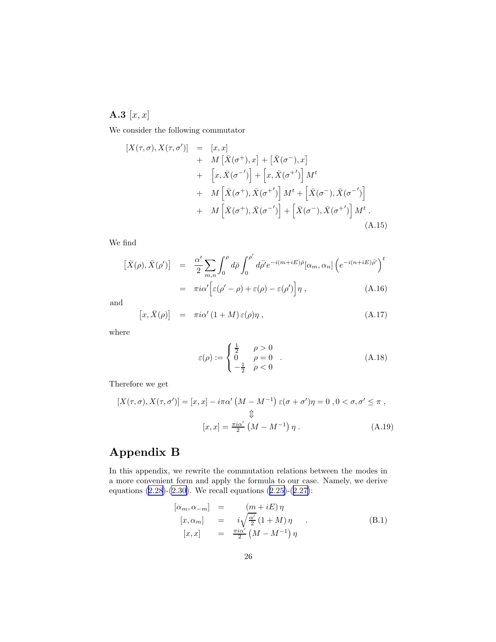<span id="page-25-0"></span>A.3  $[x, x]$ 

We consider the following commutator

$$
[X(\tau,\sigma), X(\tau,\sigma')] = [x, x] + M [\bar{X}(\sigma^+), x] + [\bar{X}(\sigma^-), x] + [x, \bar{X}(\sigma^{-'})] + [x, \bar{X}(\sigma^{+'})] M^t + M [\bar{X}(\sigma^+), \bar{X}(\sigma^{+'})] M^t + [\bar{X}(\sigma^-), \bar{X}(\sigma^{-'})] + M [\bar{X}(\sigma^+), \bar{X}(\sigma^{-'})] + [\bar{X}(\sigma^-), \bar{X}(\sigma^{+'})] M^t .
$$
\n(A.15)

We find

$$
\begin{aligned}\n\left[\bar{X}(\rho), \bar{X}(\rho')\right] &= \frac{\alpha'}{2} \sum_{m,n} \int_0^{\rho} d\bar{\rho} \int_0^{\rho'} d\bar{\rho}' e^{-i(m+iE)\bar{\rho}} [\alpha_m, \alpha_n] \left(e^{-i(n+iE)\bar{\rho}'}\right)^t \\
&= \pi i \alpha' \Big[\varepsilon(\rho' - \rho) + \varepsilon(\rho) - \varepsilon(\rho')\Big] \eta \,,\n\end{aligned} \tag{A.16}
$$

and

$$
[x, \bar{X}(\rho)] = \pi i \alpha' (1+M) \varepsilon(\rho) \eta , \qquad (A.17)
$$

where

$$
\varepsilon(\rho) := \begin{cases} \frac{1}{2} & \rho > 0 \\ 0 & \rho = 0 \\ -\frac{1}{2} & \rho < 0 \end{cases}
$$
 (A.18)

Therefore we get

$$
[X(\tau,\sigma), X(\tau,\sigma')] = [x, x] - i\pi\alpha' \left(M - M^{-1}\right) \varepsilon(\sigma + \sigma')\eta = 0, 0 < \sigma, \sigma' \le \pi,
$$
  

$$
\downarrow \downarrow
$$
  

$$
[x, x] = \frac{\pi i\alpha'}{2} \left(M - M^{-1}\right)\eta.
$$
 (A.19)

# Appendix B

In this appendix, we rewrite the commutation relations between the modes in a more convenient form and apply the formula to our case. Namely, we derive equations [\(2.28](#page-8-0))-[\(2.30](#page-8-0)). We recall equations [\(2.25\)](#page-7-0)-([2.27\)](#page-7-0):

$$
\begin{array}{rcl}\n[\alpha_m, \alpha_{-m}] & = & (m + iE)\,\eta \\
[x, \alpha_m] & = & i\sqrt{\frac{\alpha'}{2}}\,(1 + M)\,\eta \\
[x, x] & = & \frac{\pi i \alpha'}{2}\,(M - M^{-1})\,\eta\n\end{array} \tag{B.1}
$$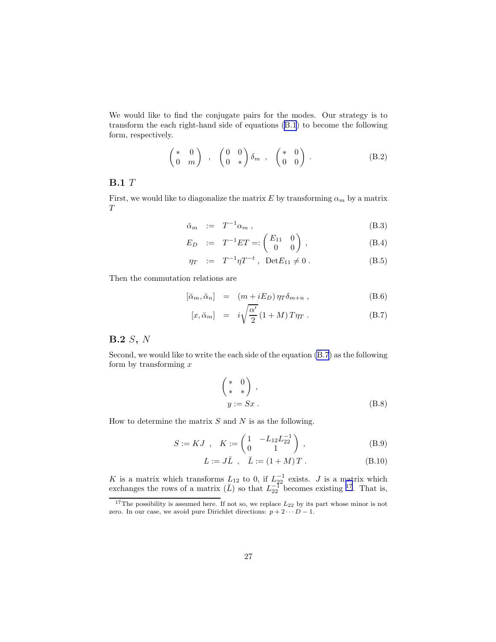We would like to find the conjugate pairs for the modes. Our strategy is to transform the each right-hand side of equations [\(B.1](#page-25-0)) to become the following form, respectively.

$$
\begin{pmatrix} * & 0 \\ 0 & m \end{pmatrix} , \begin{pmatrix} 0 & 0 \\ 0 & * \end{pmatrix} \delta_m , \begin{pmatrix} * & 0 \\ 0 & 0 \end{pmatrix} . \tag{B.2}
$$

### **B.1** T

First, we would like to diagonalize the matrix E by transforming  $\alpha_m$  by a matrix  $T$ 

$$
\breve{\alpha}_m := T^{-1} \alpha_m , \tag{B.3}
$$

$$
E_D := T^{-1}ET =: \begin{pmatrix} E_{11} & 0 \\ 0 & 0 \end{pmatrix}, \tag{B.4}
$$

$$
\eta_T \quad := \quad T^{-1} \eta T^{-t} \ , \ \ \text{Det}E_{11} \neq 0 \ . \tag{B.5}
$$

Then the commutation relations are

$$
[\breve{\alpha}_m, \breve{\alpha}_n] = (m + iE_D) \eta_T \delta_{m+n} , \qquad (B.6)
$$

$$
[x, \breve{\alpha}_m] = i\sqrt{\frac{\alpha'}{2}} (1+M) T \eta_T . \tag{B.7}
$$

#### B.2 S, N

Second, we would like to write the each side of the equation (B.7) as the following form by transforming  $x$ 

$$
\begin{pmatrix} * & 0 \\ * & * \end{pmatrix},
$$
  

$$
y := Sx.
$$
 (B.8)

How to determine the matrix  $S$  and  $N$  is as the following.

$$
S := KJ \, , \quad K := \begin{pmatrix} 1 & -L_{12}L_{22}^{-1} \\ 0 & 1 \end{pmatrix} \, , \tag{B.9}
$$

$$
L := J\bar{L} \, , \quad \bar{L} := (1 + M) \, T \, . \tag{B.10}
$$

K is a matrix which transforms  $L_{12}$  to 0, if  $L_{22}^{-1}$  exists. J is a matrix which exchanges the rows of a matrix  $(\bar{L})$  so that  $L_{22}^{-1}$  becomes existing <sup>17</sup>. That is,

 $17$ The possibility is assumed here. If not so, we replace  $L_{22}$  by its part whose minor is not zero. In our case, we avoid pure Dirichlet directions:  $p + 2 \cdots D - 1$ .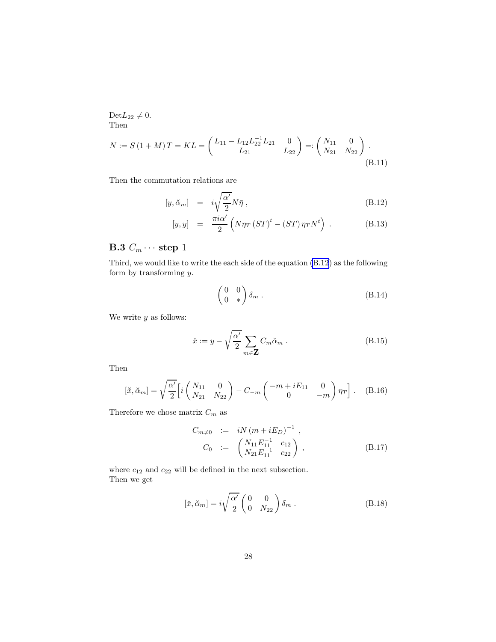<span id="page-27-0"></span> $\mathrm{Det}L_{22}\neq 0.$ Then

$$
N := S(1+M)T = KL = \begin{pmatrix} L_{11} - L_{12}L_{22}^{-1}L_{21} & 0 \\ L_{21} & L_{22} \end{pmatrix} =: \begin{pmatrix} N_{11} & 0 \\ N_{21} & N_{22} \end{pmatrix}.
$$
\n(B.11)

Then the commutation relations are

$$
[y, \breve{\alpha}_m] = i\sqrt{\frac{\alpha'}{2}} N\bar{\eta} , \qquad (B.12)
$$

$$
[y, y] = \frac{\pi i \alpha'}{2} \left( N \eta_T \left( ST \right)^t - \left( ST \right) \eta_T N^t \right) . \tag{B.13}
$$

# B.3  $C_m \cdots$  step 1

Third, we would like to write the each side of the equation (B.12) as the following form by transforming y.

$$
\begin{pmatrix} 0 & 0 \\ 0 & * \end{pmatrix} \delta_m . \tag{B.14}
$$

We write  $y$  as follows:

$$
\breve{x} := y - \sqrt{\frac{\alpha'}{2}} \sum_{m \in \mathbf{Z}} C_m \breve{\alpha}_m . \tag{B.15}
$$

Then

$$
[\check{x}, \check{\alpha}_m] = \sqrt{\frac{\alpha'}{2}} \Big[ i \begin{pmatrix} N_{11} & 0 \\ N_{21} & N_{22} \end{pmatrix} - C_{-m} \begin{pmatrix} -m + iE_{11} & 0 \\ 0 & -m \end{pmatrix} \eta_T \Big].
$$
 (B.16)

Therefore we chose matrix  ${\cal C}_m$  as

$$
C_{m \neq 0} := iN(m + iE_D)^{-1},
$$
  
\n
$$
C_0 := \begin{pmatrix} N_{11}E_{11}^{-1} & c_{12} \\ N_{21}E_{11}^{-1} & c_{22} \end{pmatrix},
$$
 (B.17)

where  $c_{12}$  and  $c_{22}$  will be defined in the next subsection. Then we get

$$
[\check{x}, \check{\alpha}_m] = i \sqrt{\frac{\alpha'}{2}} \begin{pmatrix} 0 & 0 \\ 0 & N_{22} \end{pmatrix} \delta_m . \tag{B.18}
$$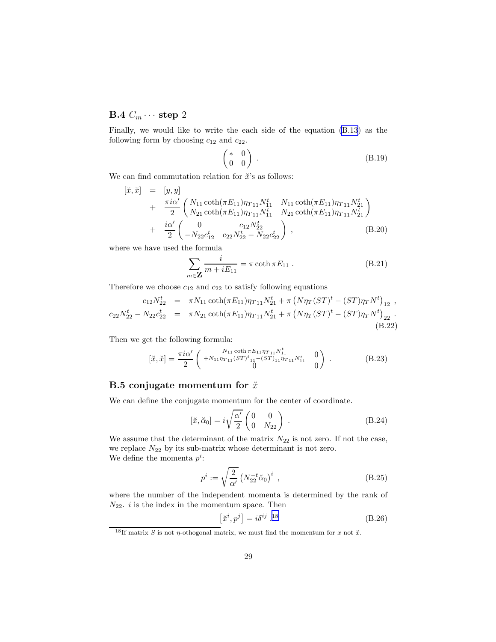# B.4  $C_m \cdots$  step 2

Finally, we would like to write the each side of the equation [\(B.13](#page-27-0)) as the following form by choosing  $c_{12}$  and  $c_{22}$ .

$$
\begin{pmatrix} * & 0 \\ 0 & 0 \end{pmatrix} . \tag{B.19}
$$

We can find commutation relation for  $\check{x}$ 's as follows:

$$
\begin{array}{rcl}\n[\check{x},\check{x}] &=& [y,y] \\
&+ \frac{\pi i \alpha'}{2} \left( \frac{N_{11} \coth(\pi E_{11}) \eta_{T11} N_{11}^t}{N_{21} \coth(\pi E_{11}) \eta_{T11} N_{11}^t} \frac{N_{11} \coth(\pi E_{11}) \eta_{T11} N_{21}^t}{N_{21} \coth(\pi E_{11}) \eta_{T11} N_{21}^t} \right) \\
&+ \frac{i \alpha'}{2} \left( \frac{0}{-N_{22} c_{12}^t} \frac{c_{12} N_{22}^t}{c_{22} N_{22}^t - N_{22} c_{22}^t} \right),\n\end{array} \tag{B.20}
$$

where we have used the formula

$$
\sum_{m \in \mathbf{Z}} \frac{i}{m + iE_{11}} = \pi \coth \pi E_{11} .
$$
 (B.21)

Therefore we choose  $c_{12}$  and  $c_{22}$  to satisfy following equations

$$
c_{12}N_{22}^{t} = \pi N_{11} \coth(\pi E_{11}) \eta_{T11} N_{21}^{t} + \pi (N \eta_{T} (ST)^{t} - (ST) \eta_{T} N^{t})_{12} ,
$$
  
\n
$$
c_{22}N_{22}^{t} - N_{22}c_{22}^{t} = \pi N_{21} \coth(\pi E_{11}) \eta_{T11} N_{21}^{t} + \pi (N \eta_{T} (ST)^{t} - (ST) \eta_{T} N^{t})_{22} .
$$
  
\n(B.22)

Then we get the following formula:

$$
\left[\check{x},\check{x}\right] = \frac{\pi i \alpha'}{2} \begin{pmatrix} N_{11} \cosh \pi E_{11} \eta_{T11} N_{11}^t & 0\\ +N_{11} \eta_{T11} (ST)^t {1 \choose 11} - (ST) {1 \choose 11} \eta_{T11} N_{11}^t & 0\\ 0 & 0 \end{pmatrix} . \tag{B.23}
$$

### B.5 conjugate momentum for  $\check{x}$

We can define the conjugate momentum for the center of coordinate.

$$
[\check{x}, \check{\alpha}_0] = i \sqrt{\frac{\alpha'}{2}} \begin{pmatrix} 0 & 0 \\ 0 & N_{22} \end{pmatrix} .
$$
 (B.24)

We assume that the determinant of the matrix  $N_{22}$  is not zero. If not the case, we replace  $N_{22}$  by its sub-matrix whose determinant is not zero. We define the momenta  $p^i$ :

$$
p^{i} := \sqrt{\frac{2}{\alpha'}} \left( N_{22}^{-t} \check{\alpha}_0 \right)^{i} , \qquad (B.25)
$$

where the number of the independent momenta is determined by the rank of  $N_{22}$ . *i* is the index in the momentum space. Then

$$
\left[\check{x}^i, p^j\right] = i\delta^{ij} \cdot ^{18} \tag{B.26}
$$

<sup>&</sup>lt;sup>18</sup>If matrix S is not  $\eta$ -othogonal matrix, we must find the momentum for x not  $\check{x}$ .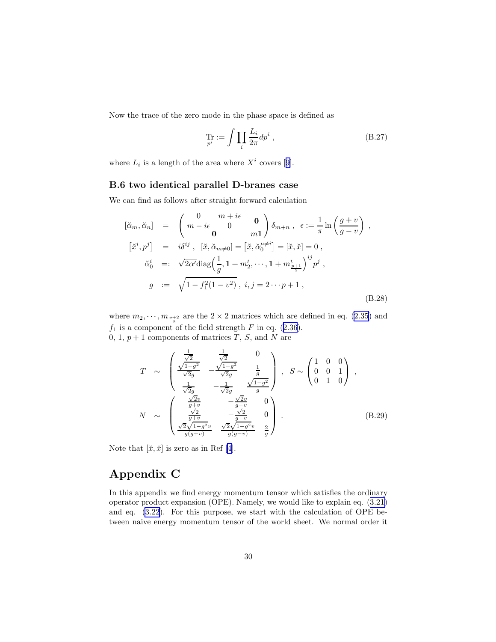Now the trace of the zero mode in the phase space is defined as

$$
\Pr_{p^i} := \int \prod_i \frac{L_i}{2\pi} dp^i , \qquad (B.27)
$$

where $L_i$  is a length of the area where  $X^i$  covers [[9\]](#page-34-0).

#### B.6 two identical parallel D-branes case

We can find as follows after straight forward calculation

$$
[\breve{\alpha}_m, \breve{\alpha}_n] = \begin{pmatrix} 0 & m + i\epsilon & \mathbf{0} \\ m - i\epsilon & 0 & m \end{pmatrix} \delta_{m+n}, \ \epsilon := \frac{1}{\pi} \ln \left( \frac{g+v}{g-v} \right) ,
$$
  
\n
$$
[\breve{x}^i, p^j] = i\delta^{ij}, \ [\breve{x}, \breve{\alpha}_{m\neq 0}] = [\breve{x}, \breve{\alpha}_0^{\mu\neq i}] = [\breve{x}, \breve{x}] = 0 ,
$$
  
\n
$$
\breve{\alpha}_0^i =: \sqrt{2\alpha'} \text{diag} \left( \frac{1}{g}, 1 + m_2^t, \dots, 1 + m_{\frac{p+1}{2}}^t \right)^{ij} p^j ,
$$
  
\n
$$
g := \sqrt{1 - f_1^2 (1 - v^2)}, \ i, j = 2 \dots p + 1 ,
$$
\n(B.28)

where  $m_2, \dots, m_{\frac{p+2}{2}}$  are the  $2 \times 2$  matrices which are defined in eq. [\(2.35](#page-8-0)) and  $f_1$ is a component of the field strength F in eq. ([2.36](#page-9-0)). 0, 1,  $p + 1$  components of matrices T, S, and N are

$$
T \sim \begin{pmatrix} \frac{1}{\sqrt{2}} & \frac{1}{\sqrt{2}} & 0 \\ \frac{\sqrt{1-g^{2}}}{\sqrt{2g}} & -\frac{\sqrt{1-g^{2}}}{\sqrt{2g}} & \frac{1}{g} \\ \frac{1}{\sqrt{2g}} & -\frac{1}{\sqrt{2g}} & \frac{\sqrt{1-g^{2}}}{g} \end{pmatrix}, S \sim \begin{pmatrix} 1 & 0 & 0 \\ 0 & 0 & 1 \\ 0 & 1 & 0 \end{pmatrix},
$$

$$
N \sim \begin{pmatrix} \frac{\sqrt{2}v}{g+v} & -\frac{\sqrt{2}v}{g-v} & 0 \\ \frac{\sqrt{2}}{g+v} & -\frac{\sqrt{2}}{g-v} & 0 \\ \frac{\sqrt{2}\sqrt{1-g^{2}v}}{g(g+v)} & \frac{\sqrt{2}\sqrt{1-g^{2}v}}{g(g-v)} & \frac{2}{g} \end{pmatrix}.
$$
(B.29)

Notethat  $[\check{x}, \check{x}]$  is zero as in Ref [[4\]](#page-34-0).

# Appendix C

In this appendix we find energy momentum tensor which satisfies the ordinary operator product expansion (OPE). Namely, we would like to explain eq.([3.21\)](#page-14-0) and eq. [\(3.22](#page-14-0)). For this purpose, we start with the calculation of OPE between naive energy momentum tensor of the world sheet. We normal order it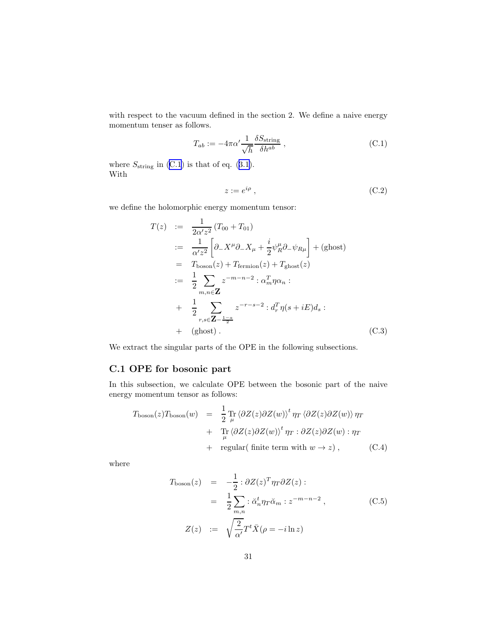with respect to the vacuum defined in the section 2. We define a naive energy momentum tenser as follows.

$$
T_{ab} := -4\pi\alpha' \frac{1}{\sqrt{h}} \frac{\delta S_{\text{string}}}{\delta h^{ab}}, \qquad (C.1)
$$

where $S_{\text{string}}$  in (C.1) is that of eq. ([3.1\)](#page-11-0). With

$$
z := e^{i\rho} \t{C.2}
$$

we define the holomorphic energy momentum tensor:

$$
T(z) := \frac{1}{2\alpha' z^2} (T_{00} + T_{01})
$$
  
\n
$$
:= \frac{1}{\alpha' z^2} \left[ \partial_- X^\mu \partial_- X_\mu + \frac{i}{2} \psi_R^\mu \partial_- \psi_{R\mu} \right] + (\text{ghost})
$$
  
\n
$$
= T_{\text{boson}}(z) + T_{\text{fermion}}(z) + T_{\text{ghost}}(z)
$$
  
\n
$$
:= \frac{1}{2} \sum_{m,n \in \mathbb{Z}} z^{-m-n-2} : \alpha_m^T \eta \alpha_n :
$$
  
\n
$$
+ \frac{1}{2} \sum_{r,s \in \mathbb{Z} - \frac{1-a}{2}} z^{-r-s-2} : d_r^T \eta (s + iE) d_s :
$$
  
\n
$$
+ (\text{ghost}). \qquad (C.3)
$$

We extract the singular parts of the OPE in the following subsections.

#### C.1 OPE for bosonic part

In this subsection, we calculate OPE between the bosonic part of the naive energy momentum tensor as follows:

$$
T_{\text{boson}}(z)T_{\text{boson}}(w) = \frac{1}{2} \Pr_{\mu} \langle \partial Z(z) \partial Z(w) \rangle^t \eta_T \langle \partial Z(z) \partial Z(w) \rangle \eta_T + \Pr_{\mu} \langle \partial Z(z) \partial Z(w) \rangle^t \eta_T : \partial Z(z) \partial Z(w) : \eta_T + \text{regular}(\text{ finite term with } w \to z), \qquad (C.4)
$$

where

$$
T_{\text{boson}}(z) = -\frac{1}{2} : \partial Z(z)^T \eta_T \partial Z(z) :
$$
  
\n
$$
= \frac{1}{2} \sum_{m,n} : \check{\alpha}_n^t \eta_T \check{\alpha}_m : z^{-m-n-2} , \qquad (C.5)
$$
  
\n
$$
Z(z) := \sqrt{\frac{2}{\alpha'}} T^t \bar{X} (\rho = -i \ln z)
$$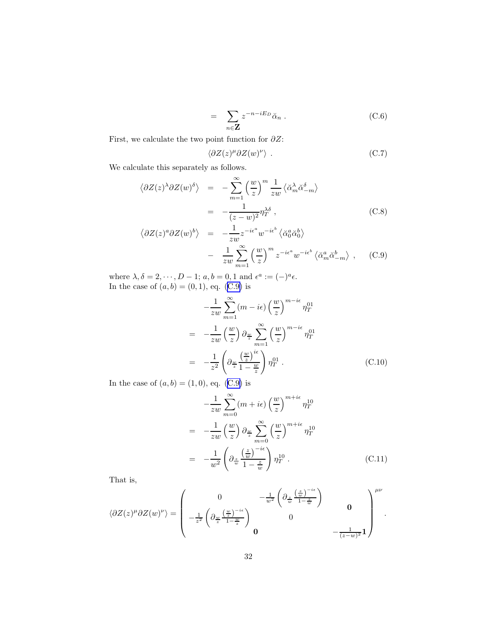$$
= \sum_{n \in \mathbf{Z}} z^{-n - iE_D} \check{\alpha}_n . \tag{C.6}
$$

First, we calculate the two point function for  $\partial Z$ :

$$
\langle \partial Z(z)^{\mu} \partial Z(w)^{\nu} \rangle . \tag{C.7}
$$

We calculate this separately as follows.

$$
\langle \partial Z(z)^{\lambda} \partial Z(w)^{\delta} \rangle = -\sum_{m=1}^{\infty} \left( \frac{w}{z} \right)^m \frac{1}{zw} \langle \check{\alpha}_m^{\lambda} \check{\alpha}_{-m}^{\delta} \rangle
$$
  
\n
$$
= -\frac{1}{(z-w)^2} \eta_T^{\lambda \delta} , \qquad (C.8)
$$
  
\n
$$
\langle \partial Z(z)^a \partial Z(w)^b \rangle = -\frac{1}{zw} z^{-i\epsilon^a} w^{-i\epsilon^b} \langle \check{\alpha}_0^a \check{\alpha}_0^b \rangle
$$
  
\n
$$
- \frac{1}{zw} \sum_{m=1}^{\infty} \left( \frac{w}{z} \right)^m z^{-i\epsilon^a} w^{-i\epsilon^b} \langle \check{\alpha}_m^a \check{\alpha}_{-m}^b \rangle , \quad (C.9)
$$

where  $\lambda, \delta = 2, \dots, D-1; a, b = 0, 1$  and  $\epsilon^a := (-)^a \epsilon$ . In the case of  $(a, b) = (0, 1)$ , eq.  $(C.9)$  is

$$
-\frac{1}{zw} \sum_{m=1}^{\infty} (m - i\epsilon) \left(\frac{w}{z}\right)^{m-i\epsilon} \eta_T^{01}
$$
  

$$
= -\frac{1}{zw} \left(\frac{w}{z}\right) \partial_{\frac{w}{z}} \sum_{m=1}^{\infty} \left(\frac{w}{z}\right)^{m-i\epsilon} \eta_T^{01}
$$
  

$$
= -\frac{1}{z^2} \left(\partial_{\frac{w}{z}} \left(\frac{w}{z}\right)^{i\epsilon}\right) \eta_T^{01} . \tag{C.10}
$$

In the case of  $(a, b) = (1, 0)$ , eq.  $(C.9)$  is

$$
-\frac{1}{zw} \sum_{m=0}^{\infty} (m + i\epsilon) \left(\frac{w}{z}\right)^{m+i\epsilon} \eta_T^{10}
$$

$$
= -\frac{1}{zw} \left(\frac{w}{z}\right) \partial_{\frac{w}{z}} \sum_{m=0}^{\infty} \left(\frac{w}{z}\right)^{m+i\epsilon} \eta_T^{10}
$$

$$
= -\frac{1}{w^2} \left(\partial_{\frac{z}{w}} \frac{\left(\frac{z}{w}\right)^{-i\epsilon}}{1 - \frac{z}{w}}\right) \eta_T^{10} . \tag{C.11}
$$

That is,

$$
\langle \partial Z(z)^{\mu} \partial Z(w)^{\nu} \rangle = \begin{pmatrix} 0 & -\frac{1}{w^2} \left( \partial_{\frac{z}{w}} \frac{\left(\frac{z}{w}\right)^{-i\epsilon}}{1 - \frac{z}{w}} \right) & 0 \\ -\frac{1}{z^2} \left( \partial_{\frac{w}{z}} \frac{\left(\frac{w}{z}\right)^{-i\epsilon}}{1 - \frac{w}{z}} \right) & 0 & 0 \\ 0 & 0 & -\frac{1}{(z-w)^2} 1 \end{pmatrix}^{\mu\nu}.
$$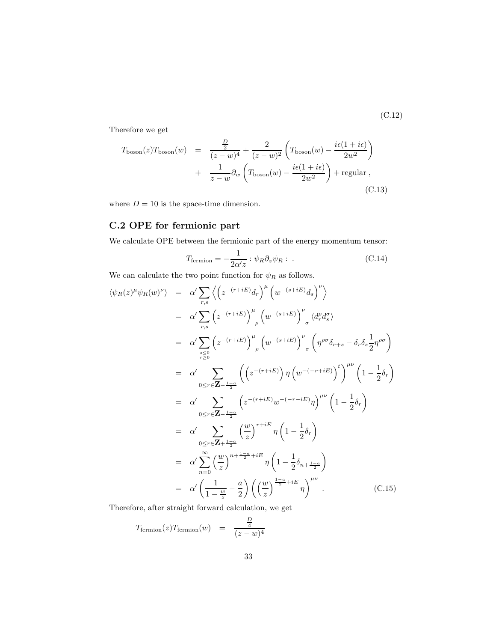(C.12)

Therefore we get

$$
T_{\text{boson}}(z)T_{\text{boson}}(w) = \frac{\frac{D}{2}}{(z-w)^4} + \frac{2}{(z-w)^2} \left( T_{\text{boson}}(w) - \frac{i\epsilon(1+i\epsilon)}{2w^2} \right)
$$

$$
+ \frac{1}{z-w} \partial_w \left( T_{\text{boson}}(w) - \frac{i\epsilon(1+i\epsilon)}{2w^2} \right) + \text{regular} , \tag{C.13}
$$

where  $D = 10$  is the space-time dimension.

## C.2 OPE for fermionic part

We calculate OPE between the fermionic part of the energy momentum tensor:

$$
T_{\text{fermion}} = -\frac{1}{2\alpha' z} : \psi_R \partial_z \psi_R : .
$$
 (C.14)

We can calculate the two point function for  $\psi_R$  as follows.

$$
\langle \psi_R(z)^{\mu} \psi_R(w)^{\nu} \rangle = \alpha' \sum_{r,s} \left\langle \left( z^{-(r+iE)} d_r \right)^{\mu} \left( w^{-(s+iE)} d_s \right)^{\nu} \right\rangle
$$
  
\n
$$
= \alpha' \sum_{r,s} \left( z^{-(r+iE)} \right)^{\mu} \left( w^{-(s+iE)} \right)^{\nu} \left\langle d_r^{\rho} d_s^{\sigma} \right\rangle
$$
  
\n
$$
= \alpha' \sum_{\substack{s \leq 0 \\ r \geq 0}} \left( z^{-(r+iE)} \right)^{\mu} \left( w^{-(s+iE)} \right)^{\nu} \left( \eta^{\rho \sigma} \delta_{r+s} - \delta_r \delta_s \frac{1}{2} \eta^{\rho \sigma} \right)
$$
  
\n
$$
= \alpha' \sum_{0 \leq r \in \mathbb{Z} - \frac{1-a}{2}} \left( \left( z^{-(r+iE)} \right) \eta \left( w^{-(r+iE)} \right)^{t} \right)^{\mu \nu} \left( 1 - \frac{1}{2} \delta_r \right)
$$
  
\n
$$
= \alpha' \sum_{0 \leq r \in \mathbb{Z} - \frac{1-a}{2}} \left( z^{-(r+iE)} w^{-(r-iE)} \eta \right)^{\mu \nu} \left( 1 - \frac{1}{2} \delta_r \right)
$$
  
\n
$$
= \alpha' \sum_{0 \leq r \in \mathbb{Z} + \frac{1-a}{2}} \left( \frac{w}{z} \right)^{r+iE} \eta \left( 1 - \frac{1}{2} \delta_r \right)
$$
  
\n
$$
= \alpha' \sum_{n=0}^{\infty} \left( \frac{w}{z} \right)^{n+\frac{1-a}{2}+iE} \eta \left( 1 - \frac{1}{2} \delta_{n+\frac{1-a}{2}} \right)
$$
  
\n
$$
= \alpha' \left( \frac{1}{1 - \frac{w}{z}} - \frac{a}{2} \right) \left( \left( \frac{w}{z} \right)^{\frac{1-a}{2}+iE} \eta \right)^{\mu \nu} . \tag{C.15}
$$

Therefore, after straight forward calculation, we get

$$
T_{\text{fermion}}(z) T_{\text{fermion}}(w) = \frac{\frac{D}{4}}{(z-w)^4}
$$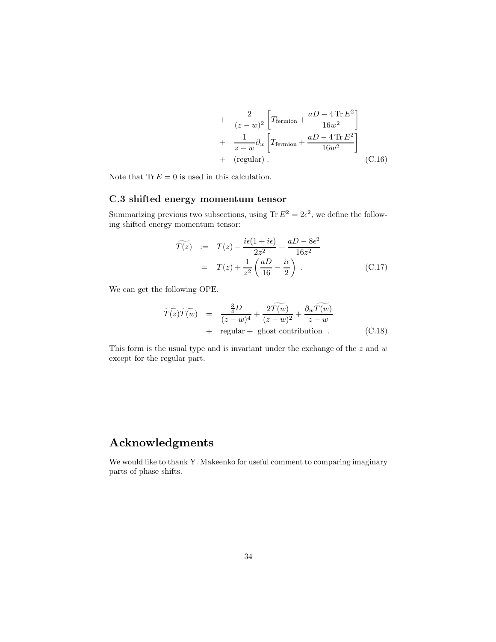+ 
$$
\frac{2}{(z-w)^2} \left[ T_{\text{fermion}} + \frac{aD - 4 \text{ Tr} E^2}{16w^2} \right]
$$
  
+ 
$$
\frac{1}{z-w} \partial_w \left[ T_{\text{fermion}} + \frac{aD - 4 \text{ Tr} E^2}{16w^2} \right]
$$
  
+ (regular) . \t(C.16)

Note that  $\text{Tr} E = 0$  is used in this calculation.

#### C.3 shifted energy momentum tensor

Summarizing previous two subsections, using  $\text{Tr } E^2 = 2\epsilon^2$ , we define the following shifted energy momentum tensor:

$$
\widetilde{T(z)} := T(z) - \frac{i\epsilon(1 + i\epsilon)}{2z^2} + \frac{aD - 8\epsilon^2}{16z^2}
$$

$$
= T(z) + \frac{1}{z^2} \left(\frac{aD}{16} - \frac{i\epsilon}{2}\right). \tag{C.17}
$$

We can get the following OPE.

$$
\widetilde{T(z)}\widetilde{T(w)} = \frac{\frac{3}{4}D}{(z-w)^4} + \frac{2\widetilde{T(w)}}{(z-w)^2} + \frac{\partial_w \widetilde{T(w)}}{z-w} + \text{ regular} + \text{ ghost contribution} .
$$
\n(C.18)

This form is the usual type and is invariant under the exchange of the  $z$  and  $w$ except for the regular part.

# Acknowledgments

We would like to thank Y. Makeenko for useful comment to comparing imaginary parts of phase shifts.